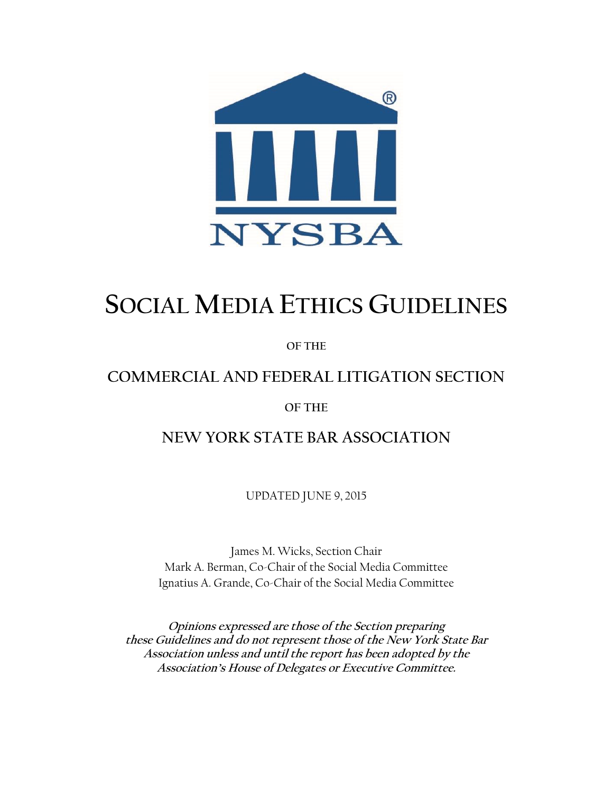

# **SOCIAL MEDIA ETHICS GUIDELINES**

**OF THE**

# **COMMERCIAL AND FEDERAL LITIGATION SECTION**

# **OF THE**

**NEW YORK STATE BAR ASSOCIATION**

UPDATED JUNE 9, 2015

James M. Wicks, Section Chair Mark A. Berman, Co-Chair of the Social Media Committee Ignatius A. Grande, Co-Chair of the Social Media Committee

**Opinions expressed are those of the Section preparing these Guidelines and do not represent those of the New York State Bar Association unless and until the report has been adopted by the Association's House of Delegates or Executive Committee.**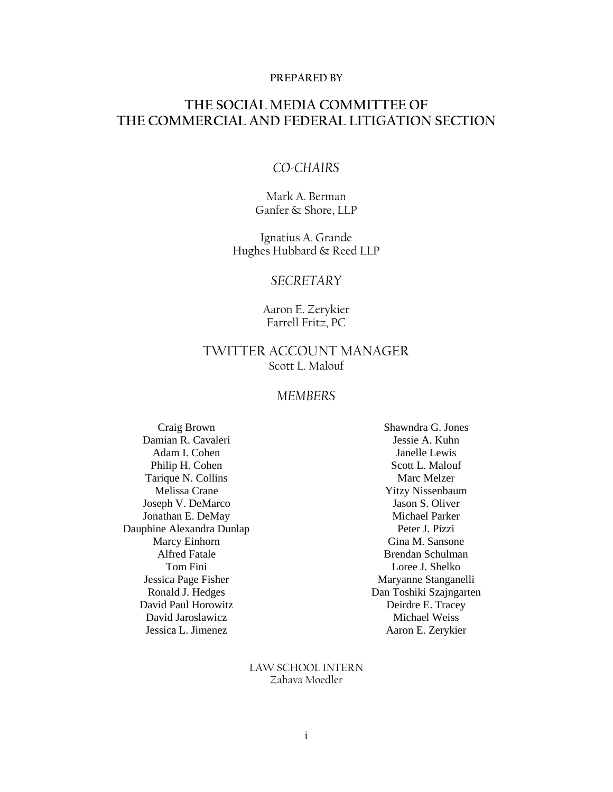#### **PREPARED BY**

# **THE SOCIAL MEDIA COMMITTEE OF THE COMMERCIAL AND FEDERAL LITIGATION SECTION**

# *CO-CHAIRS*

Mark A. Berman Ganfer & Shore, LLP

Ignatius A. Grande Hughes Hubbard & Reed LLP

# *SECRETARY*

Aaron E. Zerykier Farrell Fritz, PC

# TWITTER ACCOUNT MANAGER Scott L. Malouf

# *MEMBERS*

Craig Brown Damian R. Cavaleri Adam I. Cohen Philip H. Cohen Tarique N. Collins Melissa Crane Joseph V. DeMarco Jonathan E. DeMay Dauphine Alexandra Dunlap Marcy Einhorn Alfred Fatale Tom Fini Jessica Page Fisher Ronald J. Hedges David Paul Horowitz David Jaroslawicz Jessica L. Jimenez

Shawndra G. Jones Jessie A. Kuhn Janelle Lewis Scott L. Malouf Marc Melzer Yitzy Nissenbaum Jason S. Oliver Michael Parker Peter J. Pizzi Gina M. Sansone Brendan Schulman Loree J. Shelko Maryanne Stanganelli Dan Toshiki Szajngarten Deirdre E. Tracey Michael Weiss Aaron E. Zerykier

LAW SCHOOL INTERN Zahava Moedler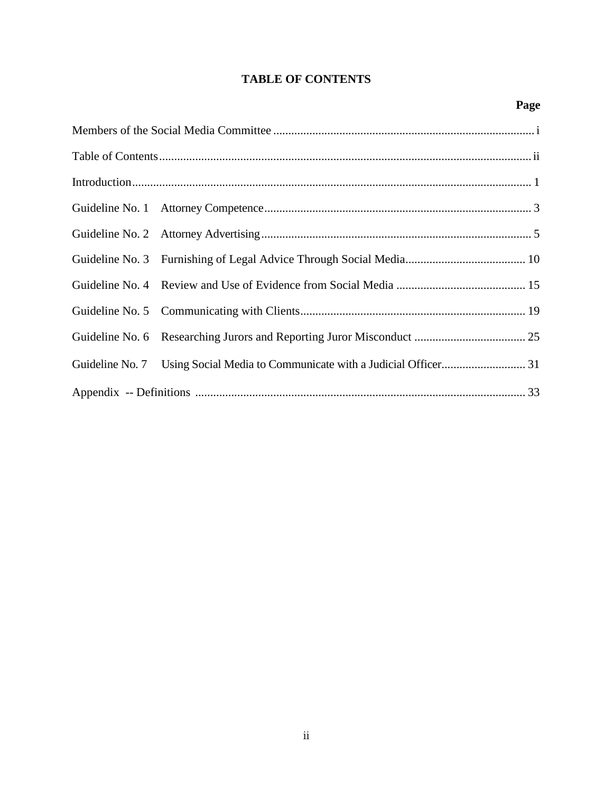# **TABLE OF CONTENTS**

# **Page**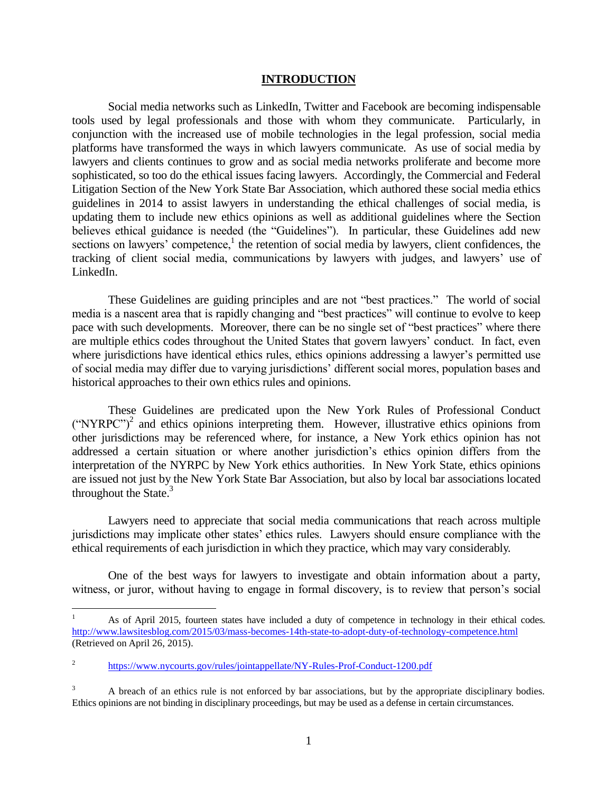#### **INTRODUCTION**

Social media networks such as LinkedIn, Twitter and Facebook are becoming indispensable tools used by legal professionals and those with whom they communicate. Particularly, in conjunction with the increased use of mobile technologies in the legal profession, social media platforms have transformed the ways in which lawyers communicate. As use of social media by lawyers and clients continues to grow and as social media networks proliferate and become more sophisticated, so too do the ethical issues facing lawyers. Accordingly, the Commercial and Federal Litigation Section of the New York State Bar Association, which authored these social media ethics guidelines in 2014 to assist lawyers in understanding the ethical challenges of social media, is updating them to include new ethics opinions as well as additional guidelines where the Section believes ethical guidance is needed (the "Guidelines"). In particular, these Guidelines add new sections on lawyers' competence,<sup>1</sup> the retention of social media by lawyers, client confidences, the tracking of client social media, communications by lawyers with judges, and lawyers' use of LinkedIn.

These Guidelines are guiding principles and are not "best practices." The world of social media is a nascent area that is rapidly changing and "best practices" will continue to evolve to keep pace with such developments. Moreover, there can be no single set of "best practices" where there are multiple ethics codes throughout the United States that govern lawyers' conduct. In fact, even where jurisdictions have identical ethics rules, ethics opinions addressing a lawyer's permitted use of social media may differ due to varying jurisdictions' different social mores, population bases and historical approaches to their own ethics rules and opinions.

These Guidelines are predicated upon the New York Rules of Professional Conduct  $("NYRPC")^2$  and ethics opinions interpreting them. However, illustrative ethics opinions from other jurisdictions may be referenced where, for instance, a New York ethics opinion has not addressed a certain situation or where another jurisdiction's ethics opinion differs from the interpretation of the NYRPC by New York ethics authorities. In New York State, ethics opinions are issued not just by the New York State Bar Association, but also by local bar associations located throughout the State. $3$ 

Lawyers need to appreciate that social media communications that reach across multiple jurisdictions may implicate other states' ethics rules. Lawyers should ensure compliance with the ethical requirements of each jurisdiction in which they practice, which may vary considerably.

One of the best ways for lawyers to investigate and obtain information about a party, witness, or juror, without having to engage in formal discovery, is to review that person's social

l

As of April 2015, fourteen states have included a duty of competence in technology in their ethical codes. <http://www.lawsitesblog.com/2015/03/mass-becomes-14th-state-to-adopt-duty-of-technology-competence.html> (Retrieved on April 26, 2015).

<sup>2</sup> <https://www.nycourts.gov/rules/jointappellate/NY-Rules-Prof-Conduct-1200.pdf>

<sup>3</sup> A breach of an ethics rule is not enforced by bar associations, but by the appropriate disciplinary bodies. Ethics opinions are not binding in disciplinary proceedings, but may be used as a defense in certain circumstances.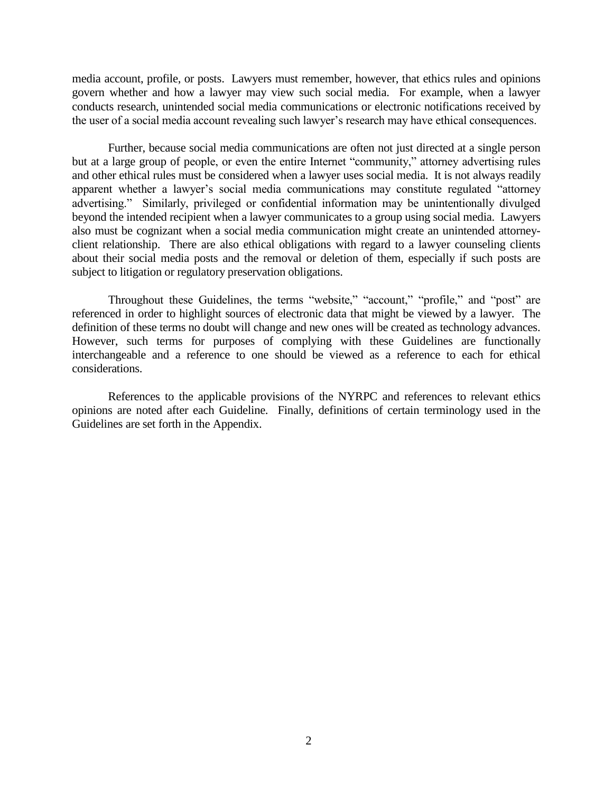media account, profile, or posts. Lawyers must remember, however, that ethics rules and opinions govern whether and how a lawyer may view such social media. For example, when a lawyer conducts research, unintended social media communications or electronic notifications received by the user of a social media account revealing such lawyer's research may have ethical consequences.

Further, because social media communications are often not just directed at a single person but at a large group of people, or even the entire Internet "community," attorney advertising rules and other ethical rules must be considered when a lawyer uses social media. It is not always readily apparent whether a lawyer's social media communications may constitute regulated "attorney advertising." Similarly, privileged or confidential information may be unintentionally divulged beyond the intended recipient when a lawyer communicates to a group using social media. Lawyers also must be cognizant when a social media communication might create an unintended attorneyclient relationship. There are also ethical obligations with regard to a lawyer counseling clients about their social media posts and the removal or deletion of them, especially if such posts are subject to litigation or regulatory preservation obligations.

Throughout these Guidelines, the terms "website," "account," "profile," and "post" are referenced in order to highlight sources of electronic data that might be viewed by a lawyer. The definition of these terms no doubt will change and new ones will be created as technology advances. However, such terms for purposes of complying with these Guidelines are functionally interchangeable and a reference to one should be viewed as a reference to each for ethical considerations.

References to the applicable provisions of the NYRPC and references to relevant ethics opinions are noted after each Guideline. Finally, definitions of certain terminology used in the Guidelines are set forth in the Appendix.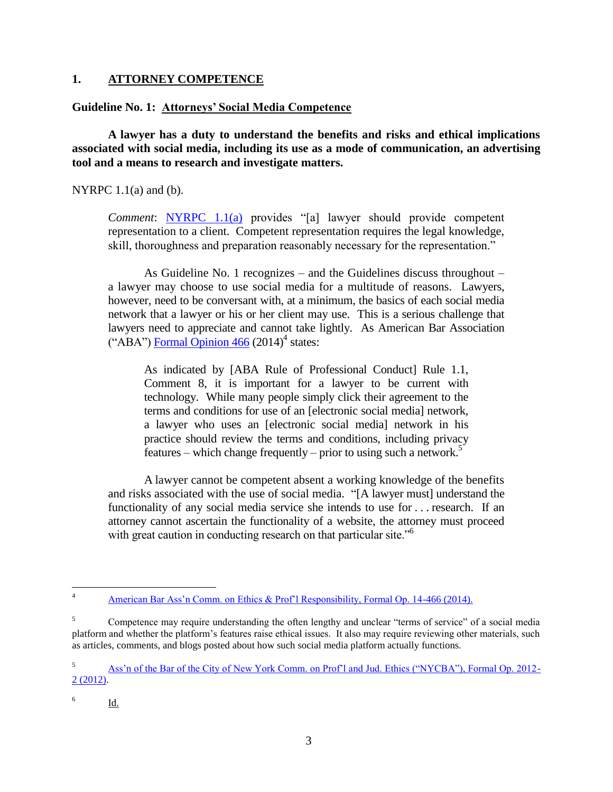# **1. ATTORNEY COMPETENCE**

# **Guideline No. 1: Attorneys' Social Media Competence**

**A lawyer has a duty to understand the benefits and risks and ethical implications associated with social media, including its use as a mode of communication, an advertising tool and a means to research and investigate matters.** 

NYRPC  $1.1(a)$  and  $(b)$ .

*Comment*: [NYRPC 1.1\(a\)](https://www.nycla.org/siteFiles/Publications/Publications1748_0.pdf) provides "[a] lawyer should provide competent representation to a client. Competent representation requires the legal knowledge, skill, thoroughness and preparation reasonably necessary for the representation."

As Guideline No. 1 recognizes – and the Guidelines discuss throughout – a lawyer may choose to use social media for a multitude of reasons. Lawyers, however, need to be conversant with, at a minimum, the basics of each social media network that a lawyer or his or her client may use. This is a serious challenge that lawyers need to appreciate and cannot take lightly. As American Bar Association ("ABA") Formal Opinion  $466$  (2014)<sup>4</sup> states:

As indicated by [ABA Rule of Professional Conduct] Rule 1.1, Comment 8, it is important for a lawyer to be current with technology. While many people simply click their agreement to the terms and conditions for use of an [electronic social media] network, a lawyer who uses an [electronic social media] network in his practice should review the terms and conditions, including privacy features – which change frequently – prior to using such a network.<sup>5</sup>

A lawyer cannot be competent absent a working knowledge of the benefits and risks associated with the use of social media. "[A lawyer must] understand the functionality of any social media service she intends to use for . . . research. If an attorney cannot ascertain the functionality of a website, the attorney must proceed with great caution in conducting research on that particular site."<sup>6</sup>

 $\overline{4}$ [American Bar Ass'n Comm. on Ethics & Prof'l Responsibility, Formal Op. 14-466 \(2014\).](http://www.americanbar.org/content/dam/aba/administrative/professional_responsibility/formal_opinion_466_final_04_23_14.authcheckdam.pdf)

<sup>&</sup>lt;sup>5</sup> Competence may require understanding the often lengthy and unclear "terms of service" of a social media platform and whether the platform's features raise ethical issues. It also may require reviewing other materials, such as articles, comments, and blogs posted about how such social media platform actually functions.

<sup>5</sup> [Ass'n of the Bar of the City of New York Comm. on Prof'l and Jud. Ethics \("NYCBA"\), Formal Op. 2012-](http://www.nycbar.org/ethics/ethics-opinions-local/2012opinions/1479-formal-opinion-2012-02) [2 \(2012\).](http://www.nycbar.org/ethics/ethics-opinions-local/2012opinions/1479-formal-opinion-2012-02)

<sup>6</sup> Id.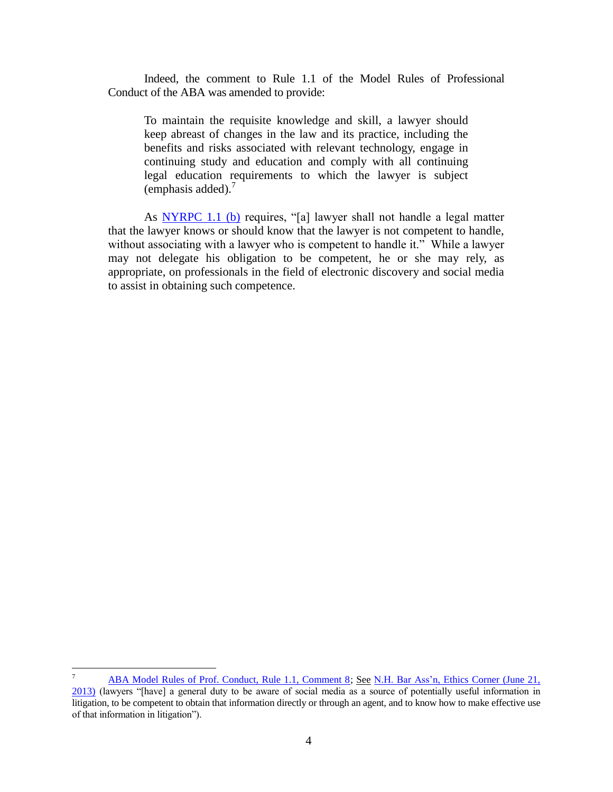Indeed, the comment to Rule 1.1 of the Model Rules of Professional Conduct of the ABA was amended to provide:

To maintain the requisite knowledge and skill, a lawyer should keep abreast of changes in the law and its practice, including the benefits and risks associated with relevant technology, engage in continuing study and education and comply with all continuing legal education requirements to which the lawyer is subject (emphasis added). $<sup>7</sup>$ </sup>

As **NYRPC** 1.1 (b) requires, "[a] lawyer shall not handle a legal matter that the lawyer knows or should know that the lawyer is not competent to handle, without associating with a lawyer who is competent to handle it." While a lawyer may not delegate his obligation to be competent, he or she may rely, as appropriate, on professionals in the field of electronic discovery and social media to assist in obtaining such competence.

l

[ABA Model Rules of Prof. Conduct, Rule 1.1, Comment 8;](http://www.americanbar.org/groups/professional_responsibility/publications/model_rules_of_professional_conduct/rule_1_1_competence/comment_on_rule_1_1.html) See N.H. Bar Ass'n, Ethics Corner (June 21, [2013\)](https://www.nhbar.org/legal-links/Ethics-Opinion-2012-13_05.asp) (lawyers "[have] a general duty to be aware of social media as a source of potentially useful information in litigation, to be competent to obtain that information directly or through an agent, and to know how to make effective use of that information in litigation").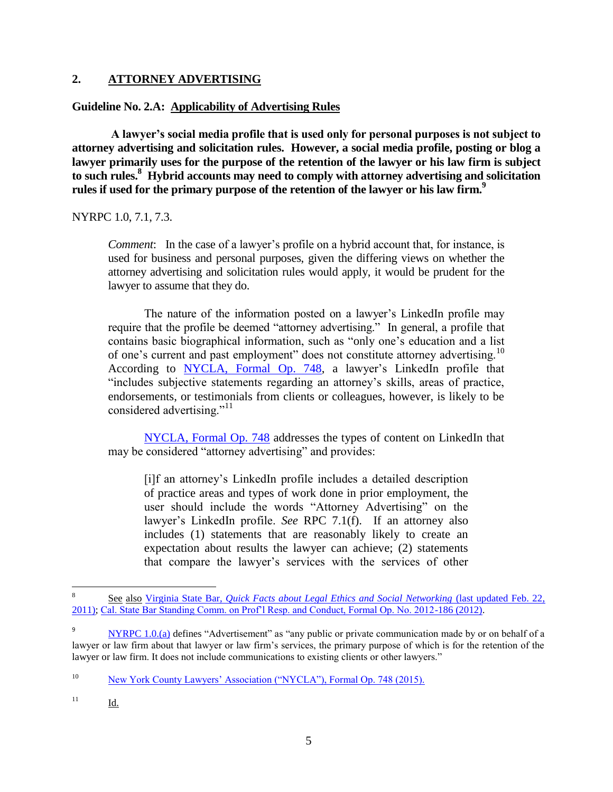# **2. ATTORNEY ADVERTISING**

# **Guideline No. 2.A: Applicability of Advertising Rules**

**A lawyer's social media profile that is used only for personal purposes is not subject to attorney advertising and solicitation rules. However, a social media profile, posting or blog a lawyer primarily uses for the purpose of the retention of the lawyer or his law firm is subject to such rules.<sup>8</sup> Hybrid accounts may need to comply with attorney advertising and solicitation rules if used for the primary purpose of the retention of the lawyer or his law firm. 9**

# NYRPC 1.0, 7.1, 7.3.

*Comment*: In the case of a lawyer's profile on a hybrid account that, for instance, is used for business and personal purposes, given the differing views on whether the attorney advertising and solicitation rules would apply, it would be prudent for the lawyer to assume that they do.

The nature of the information posted on a lawyer's LinkedIn profile may require that the profile be deemed "attorney advertising." In general, a profile that contains basic biographical information, such as "only one's education and a list of one's current and past employment" does not constitute attorney advertising.<sup>10</sup> According to [NYCLA, Formal Op. 748,](https://www.nycla.org/siteFiles/Publications/Publications1748_0.pdf) a lawyer's LinkedIn profile that "includes subjective statements regarding an attorney's skills, areas of practice, endorsements, or testimonials from clients or colleagues, however, is likely to be considered advertising."<sup>11</sup>

[NYCLA, Formal Op. 748](https://www.nycla.org/siteFiles/Publications/Publications1748_0.pdf) addresses the types of content on LinkedIn that may be considered "attorney advertising" and provides:

[i]f an attorney's LinkedIn profile includes a detailed description of practice areas and types of work done in prior employment, the user should include the words "Attorney Advertising" on the lawyer's LinkedIn profile. *See* RPC 7.1(f). If an attorney also includes (1) statements that are reasonably likely to create an expectation about results the lawyer can achieve; (2) statements that compare the lawyer's services with the services of other

 8 See also Virginia State Bar, *[Quick Facts about Legal Ethics and Social Networking](http://www.vsb.org/site/regulation/facts-ethics-social-networking)* (last updated Feb. 22, [2011\);](http://www.vsb.org/site/regulation/facts-ethics-social-networking) [Cal. State Bar Standing Comm. on Prof'l Resp. and Conduct, Formal Op. No. 2012-186 \(2012\).](http://ethics.calbar.ca.gov/portals/9/documents/opinions/cal%202012-186%20(12-21-12).pdf)

<sup>&</sup>lt;sup>9</sup> [NYRPC 1.0.\(a\)](http://www.nycourts.gov/rules/jointappellate/ny-rules-prof-conduct-1200.pdf) defines "Advertisement" as "any public or private communication made by or on behalf of a lawyer or law firm about that lawyer or law firm's services, the primary purpose of which is for the retention of the lawyer or law firm. It does not include communications to existing clients or other lawyers."

<sup>&</sup>lt;sup>10</sup> [New York County Lawyers' Association \("NYCLA"\), Formal Op. 748 \(2015\).](https://www.nycla.org/siteFiles/Publications/Publications1748_0.pdf)

<sup>11</sup> Id.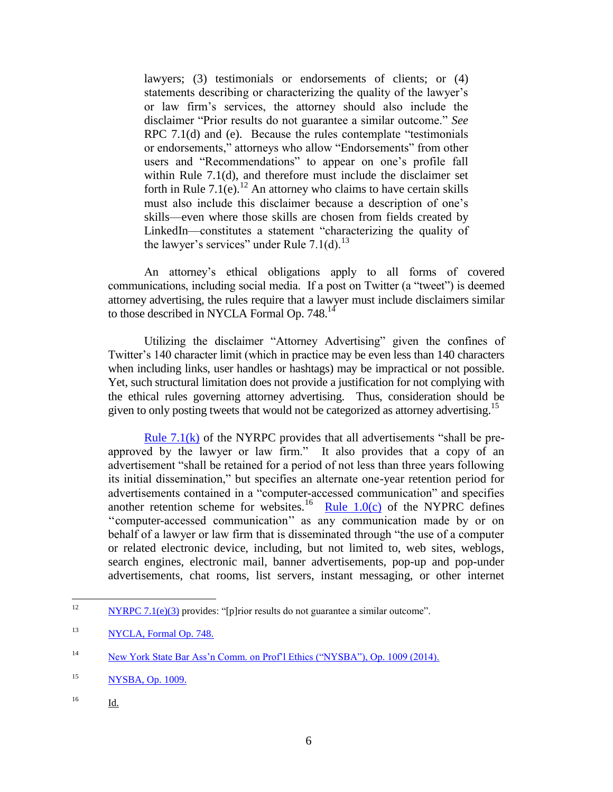lawyers; (3) testimonials or endorsements of clients; or (4) statements describing or characterizing the quality of the lawyer's or law firm's services, the attorney should also include the disclaimer "Prior results do not guarantee a similar outcome." *See*  RPC 7.1(d) and (e). Because the rules contemplate "testimonials" or endorsements," attorneys who allow "Endorsements" from other users and "Recommendations" to appear on one's profile fall within Rule 7.1(d), and therefore must include the disclaimer set forth in Rule  $7.1(e)$ .<sup>12</sup> An attorney who claims to have certain skills must also include this disclaimer because a description of one's skills—even where those skills are chosen from fields created by LinkedIn—constitutes a statement "characterizing the quality of the lawyer's services" under Rule  $7.1(d)$ <sup>13</sup>

An attorney's ethical obligations apply to all forms of covered communications, including social media. If a post on Twitter (a "tweet") is deemed attorney advertising, the rules require that a lawyer must include disclaimers similar to those described in NYCLA Formal Op. 748.<sup>14</sup>

Utilizing the disclaimer "Attorney Advertising" given the confines of Twitter's 140 character limit (which in practice may be even less than 140 characters when including links, user handles or hashtags) may be impractical or not possible. Yet, such structural limitation does not provide a justification for not complying with the ethical rules governing attorney advertising. Thus, consideration should be given to only posting tweets that would not be categorized as attorney advertising.<sup>15</sup>

Rule  $7.1(k)$  of the NYRPC provides that all advertisements "shall be preapproved by the lawyer or law firm." It also provides that a copy of an advertisement "shall be retained for a period of not less than three years following its initial dissemination," but specifies an alternate one-year retention period for advertisements contained in a "computer-accessed communication" and specifies another retention scheme for websites.<sup>16</sup> [Rule 1.0\(c\)](https://www.nycla.org/siteFiles/Publications/Publications1748_0.pdf) of the NYPRC defines ''computer-accessed communication'' as any communication made by or on behalf of a lawyer or law firm that is disseminated through "the use of a computer or related electronic device, including, but not limited to, web sites, weblogs, search engines, electronic mail, banner advertisements, pop-up and pop-under advertisements, chat rooms, list servers, instant messaging, or other internet

<sup>16</sup> Id.

 $12$  $NYRPC 7.1(e)(3)$  provides: "[p]rior results do not guarantee a similar outcome".

<sup>&</sup>lt;sup>13</sup> [NYCLA, Formal Op. 748.](https://www.nycla.org/siteFiles/Publications/Publications1748_0.pdf)

<sup>14</sup> [New York State Bar Ass'n Comm. on Prof'l Ethics \("NYSBA"\), Op. 1009 \(2014\).](https://www.nysba.org/Sections/Commercial_Federal_Litigation/Com_Fed_PDFs/Social_Media_Ethics_Guidelines.html)

<sup>15</sup> [NYSBA, Op. 1009.](https://www.nysba.org/CustomTemplates/Content.aspx?id=49755)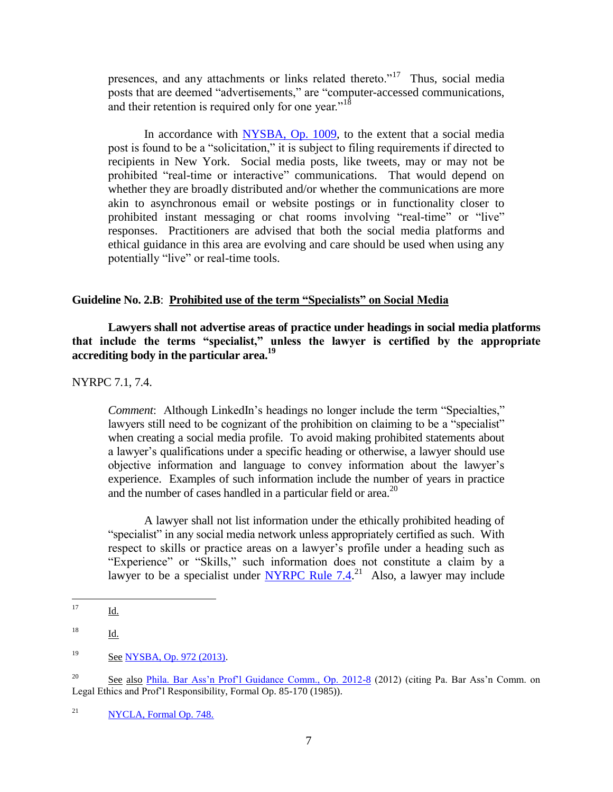presences, and any attachments or links related thereto.<sup> $17$ </sup> Thus, social media posts that are deemed "advertisements," are "computer-accessed communications, and their retention is required only for one year."<sup>18</sup>

In accordance with [NYSBA, Op. 1009,](https://www.nysba.org/CustomTemplates/Content.aspx?id=49755) to the extent that a social media post is found to be a "solicitation," it is subject to filing requirements if directed to recipients in New York. Social media posts, like tweets, may or may not be prohibited "real-time or interactive" communications. That would depend on whether they are broadly distributed and/or whether the communications are more akin to asynchronous email or website postings or in functionality closer to prohibited instant messaging or chat rooms involving "real-time" or "live" responses. Practitioners are advised that both the social media platforms and ethical guidance in this area are evolving and care should be used when using any potentially "live" or real-time tools.

# **Guideline No. 2.B**: **Prohibited use of the term "Specialists" on Social Media**

**Lawyers shall not advertise areas of practice under headings in social media platforms that include the terms "specialist," unless the lawyer is certified by the appropriate accrediting body in the particular area.<sup>19</sup>**

NYRPC 7.1, 7.4.

*Comment*: Although LinkedIn's headings no longer include the term "Specialties," lawyers still need to be cognizant of the prohibition on claiming to be a "specialist" when creating a social media profile. To avoid making prohibited statements about a lawyer's qualifications under a specific heading or otherwise, a lawyer should use objective information and language to convey information about the lawyer's experience. Examples of such information include the number of years in practice and the number of cases handled in a particular field or area.<sup>20</sup>

A lawyer shall not list information under the ethically prohibited heading of "specialist" in any social media network unless appropriately certified as such. With respect to skills or practice areas on a lawyer's profile under a heading such as "Experience" or "Skills," such information does not constitute a claim by a lawyer to be a specialist under  $NYRPC$  Rule 7.4.<sup>21</sup> Also, a lawyer may include

<sup>17</sup> <u>Id.</u>

<sup>18</sup> Id.

<sup>19</sup> See [NYSBA, Op. 972 \(2013\).](http://lawyerist.com/lawyerist/wp-content/uploads/2013/09/2013-06-26-NYSBA-Opinion-re-Specialist-on-LinkedIn.pdf)

<sup>&</sup>lt;sup>20</sup> See also [Phila. Bar Ass'n Prof'l Guidance Comm., Op. 2012-8](http://www.philadelphiabar.org/WebObjects/PBAReadOnly.woa/Contents/WebServerResources/CMSResources/Opinion2012-8Final.pdf) (2012) (citing Pa. Bar Ass'n Comm. on Legal Ethics and Prof'l Responsibility, Formal Op. 85-170 (1985)).

 $NYCLA$ , Formal Op. 748.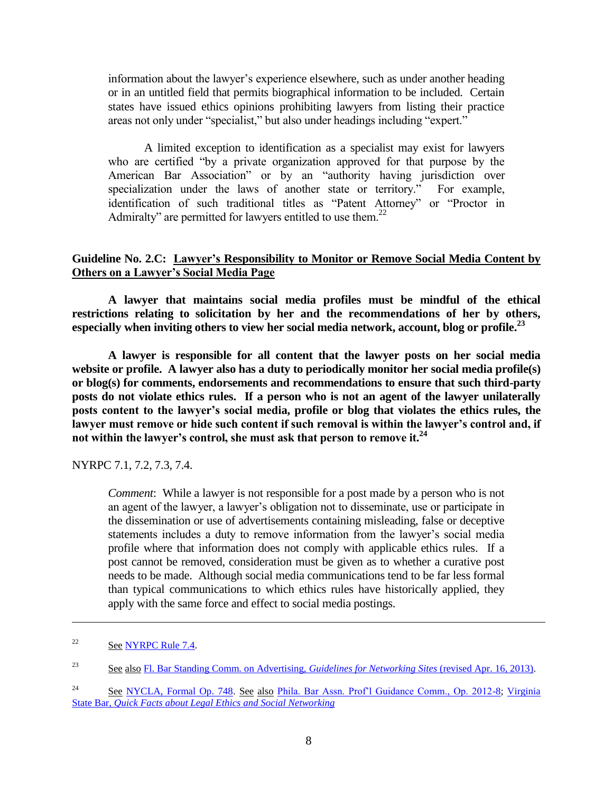information about the lawyer's experience elsewhere, such as under another heading or in an untitled field that permits biographical information to be included. Certain states have issued ethics opinions prohibiting lawyers from listing their practice areas not only under "specialist," but also under headings including "expert."

A limited exception to identification as a specialist may exist for lawyers who are certified "by a private organization approved for that purpose by the American Bar Association" or by an "authority having jurisdiction over specialization under the laws of another state or territory." For example, identification of such traditional titles as "Patent Attorney" or "Proctor in Admiralty" are permitted for lawyers entitled to use them. $22$ 

# **Guideline No. 2.C: Lawyer's Responsibility to Monitor or Remove Social Media Content by Others on a Lawyer's Social Media Page**

**A lawyer that maintains social media profiles must be mindful of the ethical restrictions relating to solicitation by her and the recommendations of her by others, especially when inviting others to view her social media network, account, blog or profile. 23** 

**A lawyer is responsible for all content that the lawyer posts on her social media website or profile. A lawyer also has a duty to periodically monitor her social media profile(s) or blog(s) for comments, endorsements and recommendations to ensure that such third-party posts do not violate ethics rules. If a person who is not an agent of the lawyer unilaterally posts content to the lawyer's social media, profile or blog that violates the ethics rules, the lawyer must remove or hide such content if such removal is within the lawyer's control and, if not within the lawyer's control, she must ask that person to remove it.<sup>24</sup>**

NYRPC 7.1, 7.2, 7.3, 7.4.

*Comment*: While a lawyer is not responsible for a post made by a person who is not an agent of the lawyer, a lawyer's obligation not to disseminate, use or participate in the dissemination or use of advertisements containing misleading, false or deceptive statements includes a duty to remove information from the lawyer's social media profile where that information does not comply with applicable ethics rules. If a post cannot be removed, consideration must be given as to whether a curative post needs to be made. Although social media communications tend to be far less formal than typical communications to which ethics rules have historically applied, they apply with the same force and effect to social media postings.

l

 $22$  See [NYRPC Rule 7.4.](http://www.nycbar.org/pdf/FinalNYRPCsWithComments%28April12009%29.pdf)

<sup>23</sup> See also [Fl. Bar Standing Comm. on Advertising,](http://www.floridabar.org/TFB/TFBResources.nsf/Attachments/18BC39758BB54A5985257B590063EDA8/$FILE/Guidelines%20-%20Social%20Networking%20Sites.pdf?OpenElement) *Guidelines for Networking Sites* (revised Apr. 16, 2013).

<sup>&</sup>lt;sup>24</sup> See [NYCLA, Formal Op. 748.](https://www.nycla.org/siteFiles/Publications/Publications1748_0.pdf) See also [Phila. Bar Assn. Prof'l Guidance Comm., Op. 2012-8;](http://www.philadelphiabar.org/WebObjects/PBAReadOnly.woa/Contents/WebServerResources/CMSResources/Opinion2012-8Final.pdf) Virginia State Bar, *[Quick Facts about Legal Ethics and Social Networking](http://www.vsb.org/site/regulation/facts-ethics-social-networking)*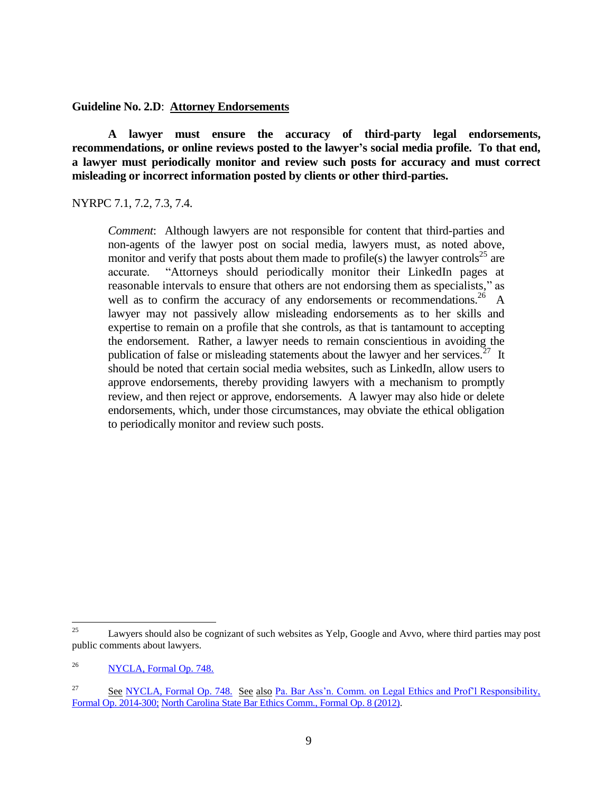**Guideline No. 2.D**: **Attorney Endorsements**

**A lawyer must ensure the accuracy of third-party legal endorsements, recommendations, or online reviews posted to the lawyer's social media profile. To that end, a lawyer must periodically monitor and review such posts for accuracy and must correct misleading or incorrect information posted by clients or other third-parties.** 

NYRPC 7.1, 7.2, 7.3, 7.4.

*Comment*: Although lawyers are not responsible for content that third-parties and non-agents of the lawyer post on social media, lawyers must, as noted above, monitor and verify that posts about them made to profile(s) the lawyer controls<sup>25</sup> are accurate. "Attorneys should periodically monitor their LinkedIn pages at reasonable intervals to ensure that others are not endorsing them as specialists," as well as to confirm the accuracy of any endorsements or recommendations.<sup>26</sup> A lawyer may not passively allow misleading endorsements as to her skills and expertise to remain on a profile that she controls, as that is tantamount to accepting the endorsement. Rather, a lawyer needs to remain conscientious in avoiding the publication of false or misleading statements about the lawyer and her services.<sup>27</sup> It should be noted that certain social media websites, such as LinkedIn, allow users to approve endorsements, thereby providing lawyers with a mechanism to promptly review, and then reject or approve, endorsements. A lawyer may also hide or delete endorsements, which, under those circumstances, may obviate the ethical obligation to periodically monitor and review such posts.

<sup>25</sup> Lawyers should also be cognizant of such websites as Yelp, Google and Avvo, where third parties may post public comments about lawyers.

<sup>26</sup> [NYCLA, Formal Op. 748.](https://www.nycla.org/siteFiles/Publications/Publications1748_0.pdf)

<sup>&</sup>lt;sup>27</sup> See [NYCLA, Formal Op. 748.](https://www.nycla.org/siteFiles/Publications/Publications1748_0.pdf) See also Pa. Bar Ass'n. Comm. on Legal Ethics and Prof'l Responsibility, [Formal Op. 2014-300;](http://www.aceds.org/wp-content/uploads/2014/11/PABarAssoc_EthicalObligationsAttorneysSocialMedia.pdf) [North Carolina State Bar Ethics Comm., Formal Op. 8 \(2012\).](http://www.ncbar.gov/ethics/ethics.asp?page=66&keywords=rule+7.1)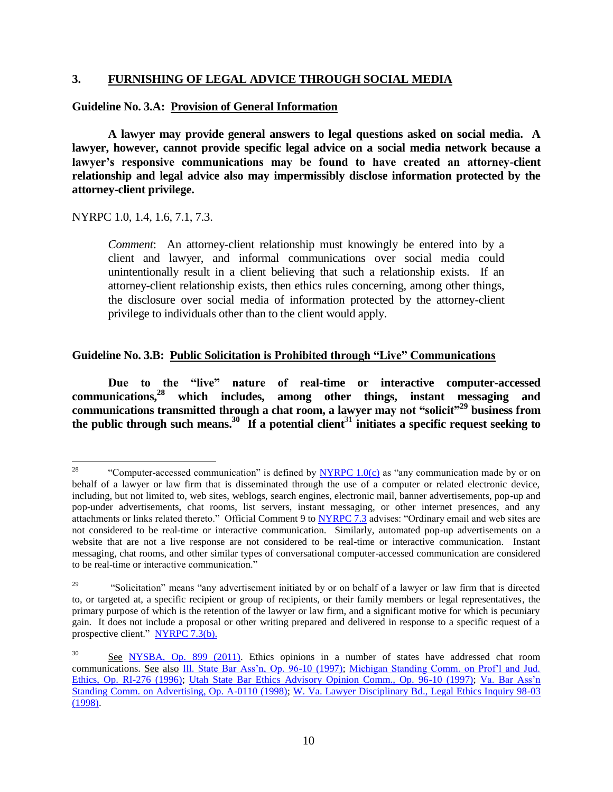# **3. FURNISHING OF LEGAL ADVICE THROUGH SOCIAL MEDIA**

#### **Guideline No. 3.A: Provision of General Information**

**A lawyer may provide general answers to legal questions asked on social media. A lawyer, however, cannot provide specific legal advice on a social media network because a lawyer's responsive communications may be found to have created an attorney-client relationship and legal advice also may impermissibly disclose information protected by the attorney-client privilege.**

NYRPC 1.0, 1.4, 1.6, 7.1, 7.3.

*Comment*: An attorney-client relationship must knowingly be entered into by a client and lawyer, and informal communications over social media could unintentionally result in a client believing that such a relationship exists. If an attorney-client relationship exists, then ethics rules concerning, among other things, the disclosure over social media of information protected by the attorney-client privilege to individuals other than to the client would apply.

## **Guideline No. 3.B: Public Solicitation is Prohibited through "Live" Communications**

**Due to the "live" nature of real-time or interactive computer-accessed communications,<sup>28</sup> which includes, among other things, instant messaging and communications transmitted through a chat room, a lawyer may not "solicit"<sup>29</sup> business from the public through such means.<sup>30</sup> If a potential client**<sup>31</sup> **initiates a specific request seeking to** 

<sup>28</sup> "Computer-accessed communication" is defined by [NYRPC 1.0\(c\)](http://www.nycourts.gov/rules/jointappellate/ny-rules-prof-conduct-1200.pdf) as "any communication made by or on behalf of a lawyer or law firm that is disseminated through the use of a computer or related electronic device, including, but not limited to, web sites, weblogs, search engines, electronic mail, banner advertisements, pop-up and pop-under advertisements, chat rooms, list servers, instant messaging, or other internet presences, and any attachments or links related thereto." Official Comment 9 to [NYRPC 7.3](http://www.nycla.org/siteFiles/NYRulesofProfessionalConduct4109_362.pdf) advises: "Ordinary email and web sites are not considered to be real-time or interactive communication. Similarly, automated pop-up advertisements on a website that are not a live response are not considered to be real-time or interactive communication. Instant messaging, chat rooms, and other similar types of conversational computer-accessed communication are considered to be real-time or interactive communication."

<sup>&</sup>lt;sup>29</sup> "Solicitation" means "any advertisement initiated by or on behalf of a lawyer or law firm that is directed to, or targeted at, a specific recipient or group of recipients, or their family members or legal representatives, the primary purpose of which is the retention of the lawyer or law firm, and a significant motive for which is pecuniary gain. It does not include a proposal or other writing prepared and delivered in response to a specific request of a prospective client." [NYRPC 7.3\(b\).](http://www.nycla.org/siteFiles/NYRulesofProfessionalConduct4109_362.pdf)

<sup>&</sup>lt;sup>30</sup> See [NYSBA, Op. 899 \(2011\).](http://old.nysba.org/AM/Template.cfm?Section=Ethics_Opinions&template=/CM/ContentDisplay.cfm&ContentID=60961) Ethics opinions in a number of states have addressed chat room communications. See also [Ill. State Bar Ass'n, Op. 96-10 \(1997\);](http://www.isba.org/sites/default/files/ethicsopinions/96-10.pdf) [Michigan Standing Comm. on Prof'l and Jud.](https://www.michbar.org/opinions/ethics/numbered_opinions/ri-276.cfm)  [Ethics, Op. RI-276 \(1996\);](https://www.michbar.org/opinions/ethics/numbered_opinions/ri-276.cfm) [Utah State Bar Ethics Advisory Opinion Comm., Op. 96-10 \(1997\);](http://utahbar.org/rules_ops_pols/ethics_opinions/op_97_10.html) [Va. Bar Ass'n](http://www.vsb.org/docs/committees/advertising/a110.htm)  [Standing Comm. on Advertising, Op. A-0110 \(1998\);](http://www.vsb.org/docs/committees/advertising/a110.htm) [W. Va. Lawyer Disciplinary Bd., Legal Ethics Inquiry 98-03](http://www.wvodc.org/pdf/lei/Chronologic/LEI-98-03.pdf)  [\(1998\).](http://www.wvodc.org/pdf/lei/Chronologic/LEI-98-03.pdf)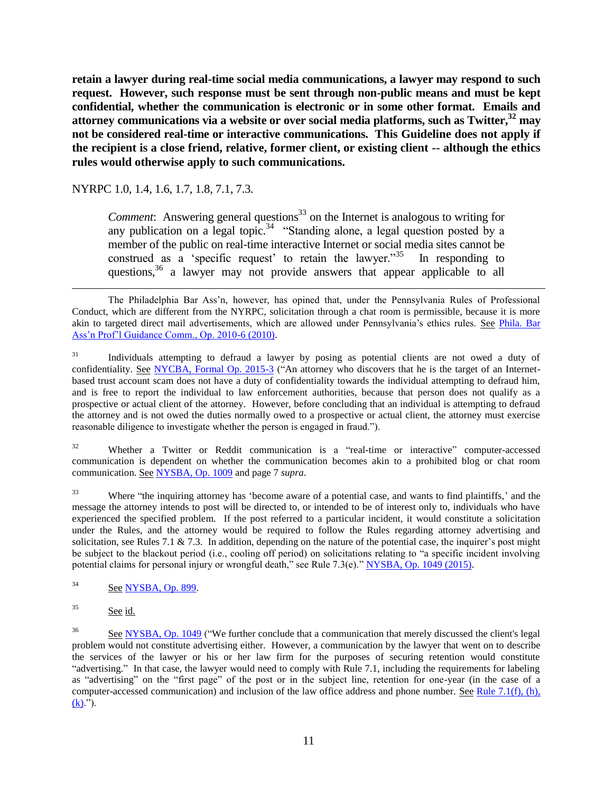**retain a lawyer during real-time social media communications, a lawyer may respond to such request. However, such response must be sent through non-public means and must be kept confidential, whether the communication is electronic or in some other format. Emails and attorney communications via a website or over social media platforms, such as Twitter,<sup>32</sup> may not be considered real-time or interactive communications. This Guideline does not apply if the recipient is a close friend, relative, former client, or existing client -- although the ethics rules would otherwise apply to such communications.** 

NYRPC 1.0, 1.4, 1.6, 1.7, 1.8, 7.1, 7.3.

*Comment*: Answering general questions<sup>33</sup> on the Internet is analogous to writing for any publication on a legal topic.<sup>34</sup> "Standing alone, a legal question posted by a member of the public on real-time interactive Internet or social media sites cannot be construed as a 'specific request' to retain the lawyer."<sup>35</sup> In responding to questions,<sup>36</sup> a lawyer may not provide answers that appear applicable to all

<sup>32</sup> Whether a Twitter or Reddit communication is a "real-time or interactive" computer-accessed communication is dependent on whether the communication becomes akin to a prohibited blog or chat room communication. See [NYSBA, Op. 1009](https://www.nysba.org/CustomTemplates/Content.aspx?id=49755) and page 7 *supra*.

<sup>33</sup> Where "the inquiring attorney has 'become aware of a potential case, and wants to find plaintiffs,' and the message the attorney intends to post will be directed to, or intended to be of interest only to, individuals who have experienced the specified problem. If the post referred to a particular incident, it would constitute a solicitation under the Rules, and the attorney would be required to follow the Rules regarding attorney advertising and solicitation, see Rules 7.1  $\&$  7.3. In addition, depending on the nature of the potential case, the inquirer's post might be subject to the blackout period (i.e., cooling off period) on solicitations relating to "a specific incident involving potential claims for personal injury or wrongful death," see Rule 7.3(e)." [NYSBA, Op. 1049 \(2015\).](https://www.nysba.org/CustomTemplates/Content.aspx?id=55624)

<sup>34</sup> See [NYSBA, Op. 899.](http://old.nysba.org/AM/Template.cfm?Section=Ethics_Opinions&template=/CM/ContentDisplay.cfm&ContentID=60961)

 $35$  See id.

l

The Philadelphia Bar Ass'n, however, has opined that, under the Pennsylvania Rules of Professional Conduct, which are different from the NYRPC, solicitation through a chat room is permissible, because it is more akin to targeted direct mail advertisements, which are allowed under Pennsylvania's ethics rules. See Phila. Bar [Ass'n Prof'l Guidance Comm., Op. 2010-6 \(2010\).](http://www.philadelphiabar.org/WebObjects/PBAReadOnly.woa/Contents/WebServerResources/CMSResources/Opinion%202010-6.pdf)

<sup>&</sup>lt;sup>31</sup> Individuals attempting to defraud a lawyer by posing as potential clients are not owed a duty of confidentiality. See [NYCBA, Formal Op. 2015-3](http://www.nycbar.org/ethics/ethics-opinions-local/2015opinions/2161-formal-opinion-2015-3-lawyers-who-fall-victim-to-internet-scams) ("An attorney who discovers that he is the target of an Internetbased trust account scam does not have a duty of confidentiality towards the individual attempting to defraud him, and is free to report the individual to law enforcement authorities, because that person does not qualify as a prospective or actual client of the attorney. However, before concluding that an individual is attempting to defraud the attorney and is not owed the duties normally owed to a prospective or actual client, the attorney must exercise reasonable diligence to investigate whether the person is engaged in fraud.").

<sup>&</sup>lt;sup>36</sup> See [NYSBA, Op. 1049](https://www.nysba.org/CustomTemplates/Content.aspx?id=55624) ("We further conclude that a communication that merely discussed the client's legal problem would not constitute advertising either. However, a communication by the lawyer that went on to describe the services of the lawyer or his or her law firm for the purposes of securing retention would constitute "advertising." In that case, the lawyer would need to comply with Rule 7.1, including the requirements for labeling as "advertising" on the "first page" of the post or in the subject line, retention for one-year (in the case of a computer-accessed communication) and inclusion of the law office address and phone number. See Rule 7.1(f), (h),  $(k)$ .").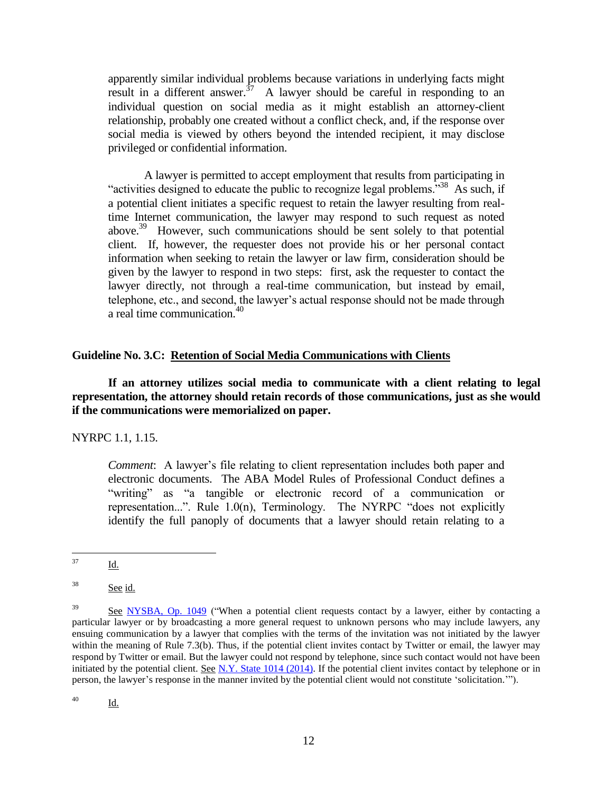apparently similar individual problems because variations in underlying facts might result in a different answer.<sup>37</sup> A lawyer should be careful in responding to an individual question on social media as it might establish an attorney-client relationship, probably one created without a conflict check, and, if the response over social media is viewed by others beyond the intended recipient, it may disclose privileged or confidential information.

A lawyer is permitted to accept employment that results from participating in "activities designed to educate the public to recognize legal problems."<sup>38</sup> As such, if a potential client initiates a specific request to retain the lawyer resulting from realtime Internet communication, the lawyer may respond to such request as noted above.<sup>39</sup> However, such communications should be sent solely to that potential client. If, however, the requester does not provide his or her personal contact information when seeking to retain the lawyer or law firm, consideration should be given by the lawyer to respond in two steps: first, ask the requester to contact the lawyer directly, not through a real-time communication, but instead by email, telephone, etc., and second, the lawyer's actual response should not be made through a real time communication.<sup>40</sup>

## **Guideline No. 3.C: Retention of Social Media Communications with Clients**

**If an attorney utilizes social media to communicate with a client relating to legal representation, the attorney should retain records of those communications, just as she would if the communications were memorialized on paper.**

NYRPC 1.1, 1.15.

*Comment*:A lawyer's file relating to client representation includes both paper and electronic documents. The ABA Model Rules of Professional Conduct defines a "writing" as "a tangible or electronic record of a communication or representation...". Rule 1.0(n), Terminology. The NYRPC "does not explicitly identify the full panoply of documents that a lawyer should retain relating to a

 $\frac{40}{\text{Id.}}$ 

<sup>37</sup>  $Id.$ 

 $38$  See id.

<sup>&</sup>lt;sup>39</sup> See [NYSBA, Op. 1049](https://www.nysba.org/CustomTemplates/Content.aspx?id=55624) ("When a potential client requests contact by a lawyer, either by contacting a particular lawyer or by broadcasting a more general request to unknown persons who may include lawyers, any ensuing communication by a lawyer that complies with the terms of the invitation was not initiated by the lawyer within the meaning of Rule 7.3(b). Thus, if the potential client invites contact by Twitter or email, the lawyer may respond by Twitter or email. But the lawyer could not respond by telephone, since such contact would not have been initiated by the potential client. See N.Y. State  $1014$  (2014). If the potential client invites contact by telephone or in person, the lawyer's response in the manner invited by the potential client would not constitute 'solicitation.'").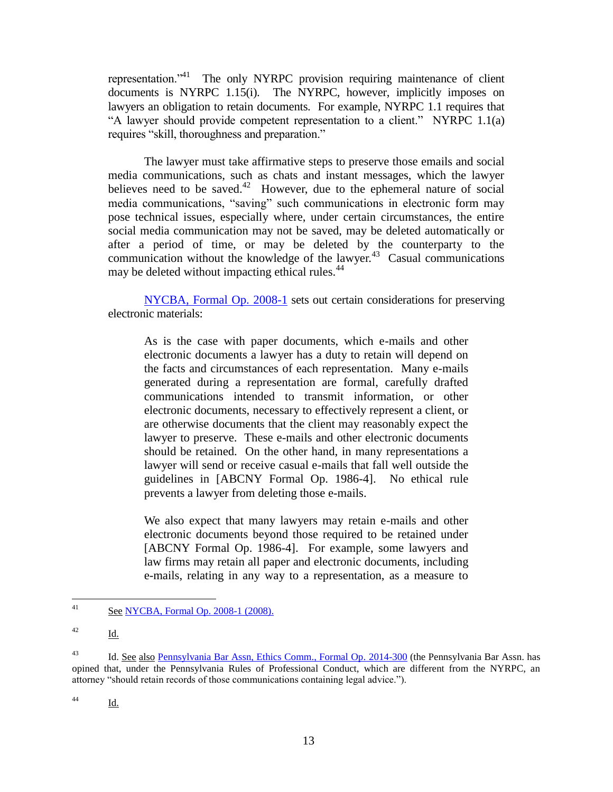representation.<sup> $1$ </sup> The only NYRPC provision requiring maintenance of client documents is NYRPC 1.15(i). The NYRPC, however, implicitly imposes on lawyers an obligation to retain documents. For example, NYRPC 1.1 requires that "A lawyer should provide competent representation to a client." NYRPC 1.1(a) requires "skill, thoroughness and preparation."

The lawyer must take affirmative steps to preserve those emails and social media communications, such as chats and instant messages, which the lawyer believes need to be saved. $42$  However, due to the ephemeral nature of social media communications, "saving" such communications in electronic form may pose technical issues, especially where, under certain circumstances, the entire social media communication may not be saved, may be deleted automatically or after a period of time, or may be deleted by the counterparty to the communication without the knowledge of the lawyer. $43$  Casual communications may be deleted without impacting ethical rules.<sup>44</sup>

[NYCBA, Formal Op. 2008-1](http://www2.nycbar.org/Publications/reports/show_html_new.php?rid=794) sets out certain considerations for preserving electronic materials:

As is the case with paper documents, which e-mails and other electronic documents a lawyer has a duty to retain will depend on the facts and circumstances of each representation. Many e-mails generated during a representation are formal, carefully drafted communications intended to transmit information, or other electronic documents, necessary to effectively represent a client, or are otherwise documents that the client may reasonably expect the lawyer to preserve. These e-mails and other electronic documents should be retained. On the other hand, in many representations a lawyer will send or receive casual e-mails that fall well outside the guidelines in [ABCNY Formal Op. 1986-4]. No ethical rule prevents a lawyer from deleting those e-mails.

We also expect that many lawyers may retain e-mails and other electronic documents beyond those required to be retained under [ABCNY Formal Op. 1986-4]. For example, some lawyers and law firms may retain all paper and electronic documents, including e-mails, relating in any way to a representation, as a measure to

<sup>44</sup> Id.

 $41$ See [NYCBA, Formal Op. 2008-1 \(2008\).](http://www2.nycbar.org/Publications/reports/show_html_new.php?rid=794)

 $\frac{42}{\underline{\mathbf{Id}}}$ .

<sup>&</sup>lt;sup>43</sup> Id. See also [Pennsylvania Bar Assn, Ethics Comm., Formal Op. 2014-300](http://www.danieljsiegel.com/Formal_2014-300.pdf) (the Pennsylvania Bar Assn. has opined that, under the Pennsylvania Rules of Professional Conduct, which are different from the NYRPC, an attorney "should retain records of those communications containing legal advice.").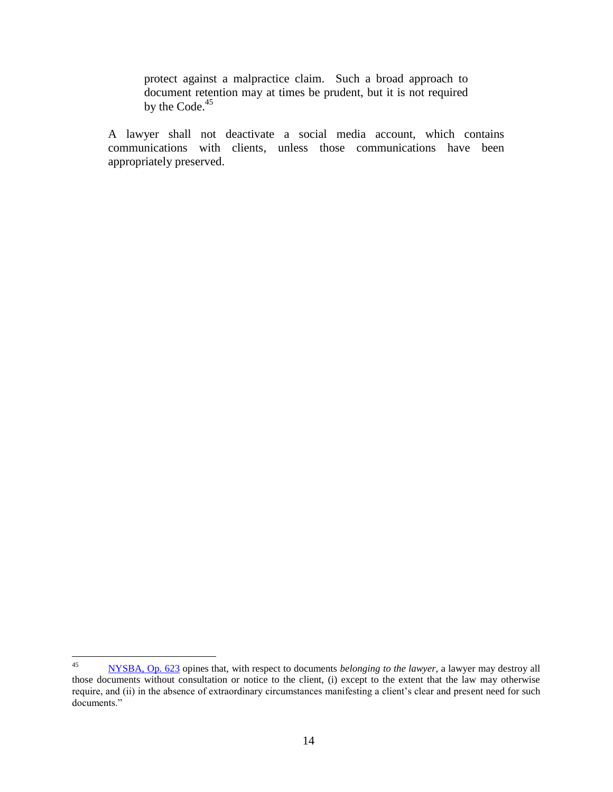protect against a malpractice claim. Such a broad approach to document retention may at times be prudent, but it is not required by the Code.<sup>45</sup>

A lawyer shall not deactivate a social media account, which contains communications with clients, unless those communications have been appropriately preserved.

 $45\,$ <sup>45</sup> [NYSBA,](http://www.nycbar.org/ethics/ethics-opinions-local/2008-opinions/799-a-lawyers-ethical-obligations-to-retain-and-to-provide-a-client-with-electronic-documents-relating-to-a-representation-) Op. 623 opines that, with respect to documents *belonging to the lawyer*, a lawyer may destroy all those documents without consultation or notice to the client, (i) except to the extent that the law may otherwise require, and (ii) in the absence of extraordinary circumstances manifesting a client's clear and present need for such documents."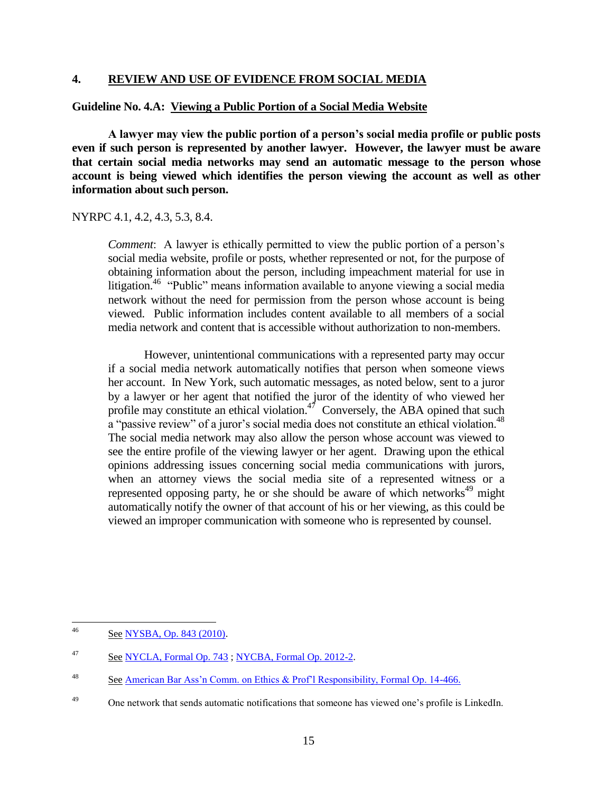## **4. REVIEW AND USE OF EVIDENCE FROM SOCIAL MEDIA**

#### **Guideline No. 4.A: Viewing a Public Portion of a Social Media Website**

**A lawyer may view the public portion of a person's social media profile or public posts even if such person is represented by another lawyer. However, the lawyer must be aware that certain social media networks may send an automatic message to the person whose account is being viewed which identifies the person viewing the account as well as other information about such person.** 

#### NYRPC 4.1, 4.2, 4.3, 5.3, 8.4.

*Comment*: A lawyer is ethically permitted to view the public portion of a person's social media website, profile or posts, whether represented or not, for the purpose of obtaining information about the person, including impeachment material for use in litigation.<sup>46</sup> "Public" means information available to anyone viewing a social media network without the need for permission from the person whose account is being viewed. Public information includes content available to all members of a social media network and content that is accessible without authorization to non-members.

However, unintentional communications with a represented party may occur if a social media network automatically notifies that person when someone views her account. In New York, such automatic messages, as noted below, sent to a juror by a lawyer or her agent that notified the juror of the identity of who viewed her profile may constitute an ethical violation. $4^7$  Conversely, the ABA opined that such a "passive review" of a juror's social media does not constitute an ethical violation.<sup>48</sup> The social media network may also allow the person whose account was viewed to see the entire profile of the viewing lawyer or her agent. Drawing upon the ethical opinions addressing issues concerning social media communications with jurors, when an attorney views the social media site of a represented witness or a represented opposing party, he or she should be aware of which networks<sup>49</sup> might automatically notify the owner of that account of his or her viewing, as this could be viewed an improper communication with someone who is represented by counsel.

<sup>46</sup> See [NYSBA, Op. 843 \(2010\).](http://www.nysba.org/CustomTemplates/Content.aspx?id=5162)

<sup>47</sup> See [NYCLA, Formal Op. 743](https://www.nycla.org/siteFiles/Publications/Publications1450_0.pdf) ; [NYCBA, Formal Op. 2012-2.](http://www.nycbar.org/ethics/ethics-opinions-local/2012opinions/1479-formal-opinion-2012-02)

<sup>48</sup> See [American Bar Ass'n Comm. on Ethics & Prof'l Responsibility, Formal Op. 14-466.](http://www.americanbar.org/content/dam/aba/administrative/professional_responsibility/formal_opinion_466_final_04_23_14.authcheckdam.pdf)

<sup>&</sup>lt;sup>49</sup> One network that sends automatic notifications that someone has viewed one's profile is LinkedIn.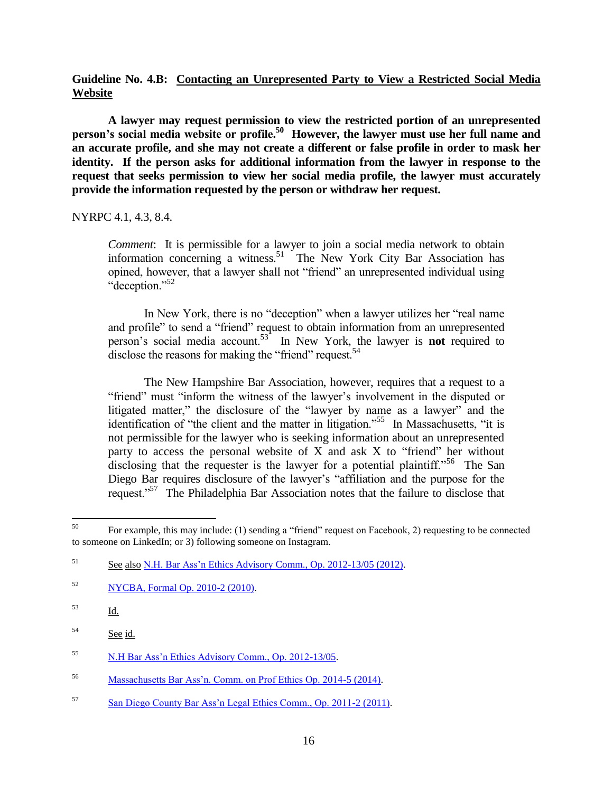# **Guideline No. 4.B: Contacting an Unrepresented Party to View a Restricted Social Media Website**

**A lawyer may request permission to view the restricted portion of an unrepresented person's social media website or profile.<sup>50</sup> However, the lawyer must use her full name and an accurate profile, and she may not create a different or false profile in order to mask her identity. If the person asks for additional information from the lawyer in response to the request that seeks permission to view her social media profile, the lawyer must accurately provide the information requested by the person or withdraw her request.** 

#### NYRPC 4.1, 4.3, 8.4.

*Comment*: It is permissible for a lawyer to join a social media network to obtain information concerning a witness.<sup>51</sup> The New York City Bar Association has opined, however, that a lawyer shall not "friend" an unrepresented individual using "deception."<sup>52</sup>

In New York, there is no "deception" when a lawyer utilizes her "real name and profile" to send a "friend" request to obtain information from an unrepresented person's social media account.<sup>53</sup> In New York, the lawyer is **not** required to disclose the reasons for making the "friend" request.<sup>54</sup>

The New Hampshire Bar Association, however, requires that a request to a "friend" must "inform the witness of the lawyer's involvement in the disputed or litigated matter," the disclosure of the "lawyer by name as a lawyer" and the identification of "the client and the matter in litigation."<sup>55</sup> In Massachusetts, "it is not permissible for the lawyer who is seeking information about an unrepresented party to access the personal website of  $X$  and ask  $X$  to "friend" her without disclosing that the requester is the lawyer for a potential plaintiff."<sup>56</sup> The San Diego Bar requires disclosure of the lawyer's "affiliation and the purpose for the request."<sup>57</sup> The Philadelphia Bar Association notes that the failure to disclose that

- <sup>56</sup> [Massachusetts Bar Ass'n. Comm. on Prof Ethics Op. 2014-5 \(2014\).](http://www.massbar.org/publications/ethics-opinions/2010-2019/2014/opinion-2014-5)
- <sup>57</sup> [San Diego County Bar Ass'n Legal Ethics Comm., Op. 2011-2 \(2011\).](https://www.sdcba.org/index.cfm?pg=LEC2011-2)

<sup>50</sup> <sup>50</sup> For example, this may include: (1) sending a "friend" request on Facebook, 2) requesting to be connected to someone on LinkedIn; or 3) following someone on Instagram.

<sup>&</sup>lt;sup>51</sup> See also [N.H. Bar Ass'n Ethics Advisory Comm., Op.](http://www.nhbar.org/legal-links/Ethics-Opinion-2012-13_05.asp) 2012-13/05 (2012).

<sup>52</sup> [NYCBA, Formal Op. 2010-2 \(2010\).](http://www.nycbar.org/ethics/ethics-opinions-local/2010-opinions/786-obtaining-evidence-from-social-networking-websites)

 $\frac{53}{\underline{Id}}$ .

<sup>54</sup> See id.

<sup>55</sup> [N.H Bar Ass'n Ethics Advisory Comm., Op. 2012-13/05.](http://www.nhbar.org/legal-links/Ethics-Opinion-2012-13_05.asp)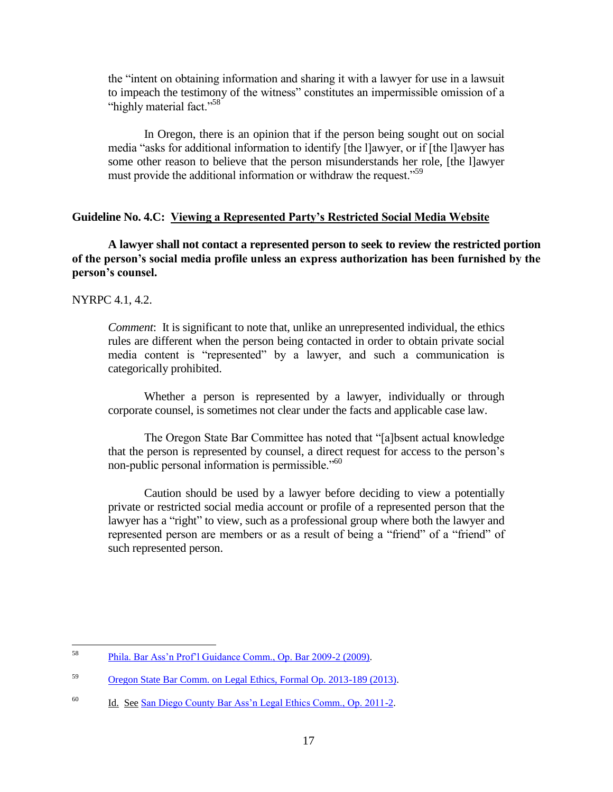the "intent on obtaining information and sharing it with a lawyer for use in a lawsuit to impeach the testimony of the witness" constitutes an impermissible omission of a "highly material fact."<sup>58</sup>

In Oregon, there is an opinion that if the person being sought out on social media "asks for additional information to identify [the l]awyer, or if [the l]awyer has some other reason to believe that the person misunderstands her role, [the l]awyer must provide the additional information or withdraw the request.<sup>559</sup>

#### **Guideline No. 4.C: Viewing a Represented Party's Restricted Social Media Website**

**A lawyer shall not contact a represented person to seek to review the restricted portion of the person's social media profile unless an express authorization has been furnished by the person's counsel.**

NYRPC 4.1, 4.2.

*Comment*: It is significant to note that, unlike an unrepresented individual, the ethics rules are different when the person being contacted in order to obtain private social media content is "represented" by a lawyer, and such a communication is categorically prohibited.

Whether a person is represented by a lawyer, individually or through corporate counsel, is sometimes not clear under the facts and applicable case law.

The Oregon State Bar Committee has noted that "[a]bsent actual knowledge that the person is represented by counsel, a direct request for access to the person's non-public personal information is permissible."<sup>60</sup>

Caution should be used by a lawyer before deciding to view a potentially private or restricted social media account or profile of a represented person that the lawyer has a "right" to view, such as a professional group where both the lawyer and represented person are members or as a result of being a "friend" of a "friend" of such represented person.

<sup>58</sup> <sup>58</sup> [Phila. Bar Ass'n Prof'l Guidance Comm., Op. Bar 2009-2 \(2009\).](http://www.philadelphiabar.org/WebObjects/PBAReadOnly.woa/Contents/WebServerResources/CMSResources/Opinion_2009-2.pdf) 

<sup>59</sup> [Oregon State Bar Comm. on Legal Ethics, Formal Op. 2013-189 \(2013\).](https://www.osbar.org/_docs/ethics/2013-189.pdf)

<sup>&</sup>lt;sup>60</sup> Id. See [San Diego County Bar Ass'n Legal Ethics Comm., Op. 2011-2.](https://www.sdcba.org/index.cfm?pg=LEC2011-2)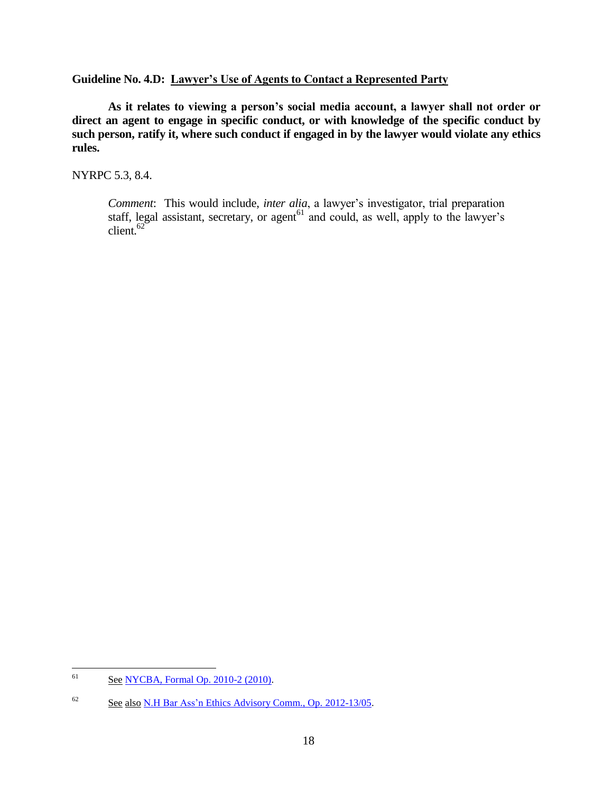# **Guideline No. 4.D: Lawyer's Use of Agents to Contact a Represented Party**

**As it relates to viewing a person's social media account, a lawyer shall not order or direct an agent to engage in specific conduct, or with knowledge of the specific conduct by such person, ratify it, where such conduct if engaged in by the lawyer would violate any ethics rules.**

NYRPC 5.3, 8.4.

*Comment*: This would include, *inter alia*, a lawyer's investigator, trial preparation staff, legal assistant, secretary, or agent $^{61}$  and could, as well, apply to the lawyer's  $client<sup>.62</sup>$ 

<sup>61</sup> See [NYCBA, Formal Op. 2010-2 \(2010\).](http://www2.nycbar.org/Ethics/eth2010.htm)

<sup>&</sup>lt;sup>62</sup> See also [N.H Bar Ass'n Ethics Advisory Comm., Op. 2012-13/05.](http://www.nhbar.org/legal-links/Ethics-Opinion-2012-13_05.asp)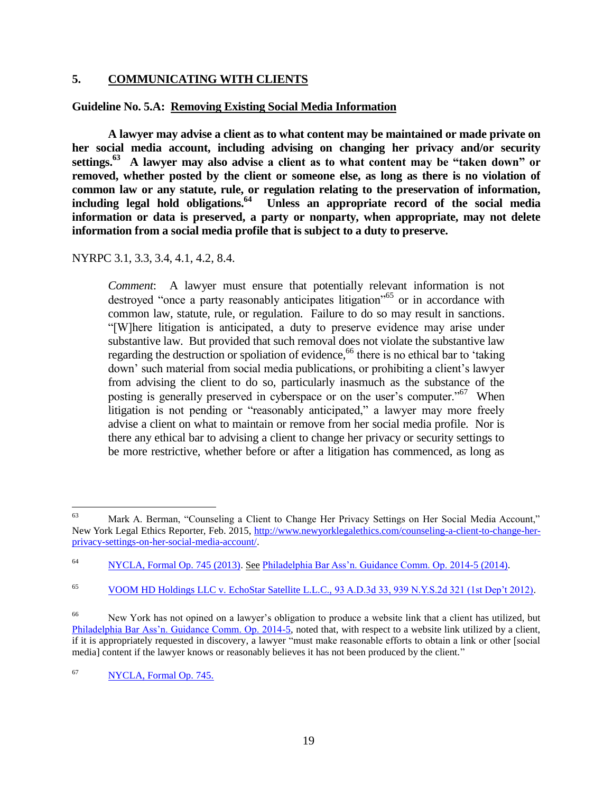# **5. COMMUNICATING WITH CLIENTS**

# **Guideline No. 5.A: Removing Existing Social Media Information**

**A lawyer may advise a client as to what content may be maintained or made private on her social media account, including advising on changing her privacy and/or security settings.<sup>63</sup> A lawyer may also advise a client as to what content may be "taken down" or removed, whether posted by the client or someone else, as long as there is no violation of common law or any statute, rule, or regulation relating to the preservation of information, including legal hold obligations.<sup>64</sup> Unless an appropriate record of the social media information or data is preserved, a party or nonparty, when appropriate, may not delete information from a social media profile that is subject to a duty to preserve.**

NYRPC 3.1, 3.3, 3.4, 4.1, 4.2, 8.4.

*Comment*:A lawyer must ensure that potentially relevant information is not destroyed "once a party reasonably anticipates litigation"<sup>65</sup> or in accordance with common law, statute, rule, or regulation. Failure to do so may result in sanctions. "[W]here litigation is anticipated, a duty to preserve evidence may arise under substantive law. But provided that such removal does not violate the substantive law regarding the destruction or spoliation of evidence,<sup>66</sup> there is no ethical bar to 'taking down' such material from social media publications, or prohibiting a client's lawyer from advising the client to do so, particularly inasmuch as the substance of the posting is generally preserved in cyberspace or on the user's computer."<sup>67</sup> When litigation is not pending or "reasonably anticipated," a lawyer may more freely advise a client on what to maintain or remove from her social media profile. Nor is there any ethical bar to advising a client to change her privacy or security settings to be more restrictive, whether before or after a litigation has commenced, as long as

<sup>63</sup> Mark A. Berman, "Counseling a Client to Change Her Privacy Settings on Her Social Media Account," New York Legal Ethics Reporter, Feb. 2015[, http://www.newyorklegalethics.com/counseling-a-client-to-change-her](http://www.newyorklegalethics.com/counseling-a-client-to-change-her-privacy-settings-on-her-social-media-account/)[privacy-settings-on-her-social-media-account/.](http://www.newyorklegalethics.com/counseling-a-client-to-change-her-privacy-settings-on-her-social-media-account/)

<sup>64</sup> [NYCLA, Formal Op. 745 \(2013\).](https://www.nycla.org/siteFiles/Publications/Publications1630_0.pdf) See [Philadelphia Bar Ass'n. Guidance Comm. Op. 2014-5 \(2014\).](http://www.aceds.org/wp-content/uploads/2014/11/PABarAssoc_EthicalObligationsAttorneysSocialMedia.pdf)

<sup>65</sup> [VOOM HD Holdings LLC v. EchoStar Satellite L.L.C., 93 A.D.3d 33, 939 N.Y.S.2d 321 \(1st Dep't 2012\).](http://www.nycourts.gov/reporter/3dseries/2012/2012_00658.htm)

<sup>&</sup>lt;sup>66</sup> New York has not opined on a lawyer's obligation to produce a website link that a client has utilized, but [Philadelphia Bar Ass'n. Guidance Comm. Op. 2014-5,](http://www.aceds.org/wp-content/uploads/2014/11/PABarAssoc_EthicalObligationsAttorneysSocialMedia.pdf) noted that, with respect to a website link utilized by a client, if it is appropriately requested in discovery, a lawyer "must make reasonable efforts to obtain a link or other [social media] content if the lawyer knows or reasonably believes it has not been produced by the client."

<sup>67</sup> [NYCLA, Formal Op. 745.](https://www.nycla.org/siteFiles/Publications/Publications1630_0)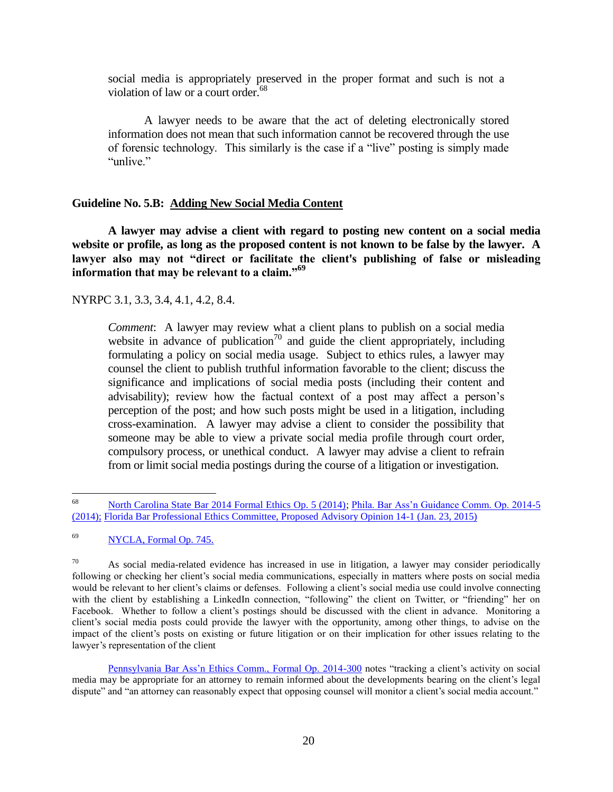social media is appropriately preserved in the proper format and such is not a violation of law or a court order.<sup>68</sup>

A lawyer needs to be aware that the act of deleting electronically stored information does not mean that such information cannot be recovered through the use of forensic technology. This similarly is the case if a "live" posting is simply made "unlive"

# **Guideline No. 5.B: Adding New Social Media Content**

**A lawyer may advise a client with regard to posting new content on a social media website or profile, as long as the proposed content is not known to be false by the lawyer. A lawyer also may not "direct or facilitate the client's publishing of false or misleading information that may be relevant to a claim."<sup>69</sup>**

NYRPC 3.1, 3.3, 3.4, 4.1, 4.2, 8.4.

*Comment*:A lawyer may review what a client plans to publish on a social media website in advance of publication<sup>70</sup> and guide the client appropriately, including formulating a policy on social media usage. Subject to ethics rules, a lawyer may counsel the client to publish truthful information favorable to the client; discuss the significance and implications of social media posts (including their content and advisability); review how the factual context of a post may affect a person's perception of the post; and how such posts might be used in a litigation, including cross-examination. A lawyer may advise a client to consider the possibility that someone may be able to view a private social media profile through court order, compulsory process, or unethical conduct. A lawyer may advise a client to refrain from or limit social media postings during the course of a litigation or investigation.

<sup>68</sup> <sup>68</sup> [North Carolina State Bar 2014 Formal Ethics Op. 5 \(2014\);](http://www.ncbar.com/ethics/ethics.asp?page=4&from=7/2014) [Phila. Bar Ass'n Guidance Comm. Op. 2014-5](http://www.aceds.org/wp-content/uploads/2014/11/PABarAssoc_EthicalObligationsAttorneysSocialMedia.pdf)  [\(2014\);](http://www.aceds.org/wp-content/uploads/2014/11/PABarAssoc_EthicalObligationsAttorneysSocialMedia.pdf) [Florida Bar Professional Ethics Committee, Proposed Advisory Opinion 14-1 \(Jan. 23, 2015\)](https://www.floridabar.org/DIVEXE/RRTFBResources.nsf/Attachments/8E73C71636D8C23785257DD9006E5816/$FILE/14-01%20PAO.pdf?OpenElement)

<sup>69</sup> [NYCLA, Formal Op. 745.](https://www.nycla.org/siteFiles/Publications/Publications1630_0)

 $70$  As social media-related evidence has increased in use in litigation, a lawyer may consider periodically following or checking her client's social media communications, especially in matters where posts on social media would be relevant to her client's claims or defenses. Following a client's social media use could involve connecting with the client by establishing a LinkedIn connection, "following" the client on Twitter, or "friending" her on Facebook. Whether to follow a client's postings should be discussed with the client in advance. Monitoring a client's social media posts could provide the lawyer with the opportunity, among other things, to advise on the impact of the client's posts on existing or future litigation or on their implication for other issues relating to the lawyer's representation of the client

[Pennsylvania Bar Ass'n Ethics Comm., Formal Op. 2014-300](http://www.danieljsiegel.com/Formal_2014-300.pdf) notes "tracking a client's activity on social media may be appropriate for an attorney to remain informed about the developments bearing on the client's legal dispute" and "an attorney can reasonably expect that opposing counsel will monitor a client's social media account."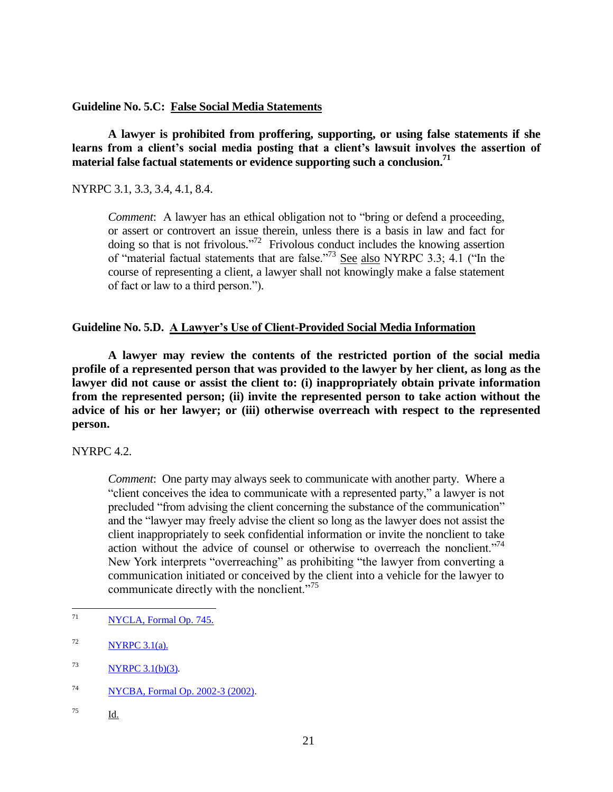**Guideline No. 5.C: False Social Media Statements**

**A lawyer is prohibited from proffering, supporting, or using false statements if she learns from a client's social media posting that a client's lawsuit involves the assertion of material false factual statements or evidence supporting such a conclusion.<sup>71</sup>**

NYRPC 3.1, 3.3, 3.4, 4.1, 8.4.

*Comment*:A lawyer has an ethical obligation not to "bring or defend a proceeding, or assert or controvert an issue therein, unless there is a basis in law and fact for doing so that is not frivolous.<sup>772</sup> Frivolous conduct includes the knowing assertion of "material factual statements that are false."<sup>73</sup> See also NYRPC 3.3; 4.1 ("In the course of representing a client, a lawyer shall not knowingly make a false statement of fact or law to a third person.").

# **Guideline No. 5.D. A Lawyer's Use of Client-Provided Social Media Information**

**A lawyer may review the contents of the restricted portion of the social media profile of a represented person that was provided to the lawyer by her client, as long as the lawyer did not cause or assist the client to: (i) inappropriately obtain private information from the represented person; (ii) invite the represented person to take action without the advice of his or her lawyer; or (iii) otherwise overreach with respect to the represented person.**

NYRPC 4.2.

*Comment*: One party may always seek to communicate with another party. Where a "client conceives the idea to communicate with a represented party," a lawyer is not precluded "from advising the client concerning the substance of the communication" and the "lawyer may freely advise the client so long as the lawyer does not assist the client inappropriately to seek confidential information or invite the nonclient to take action without the advice of counsel or otherwise to overreach the nonclient."<sup>74</sup> New York interprets "overreaching" as prohibiting "the lawyer from converting a communication initiated or conceived by the client into a vehicle for the lawyer to communicate directly with the nonclient."<sup>75</sup>

 $71$ [NYCLA, Formal Op.](https://www.nycla.org/siteFiles/Publications/Publications1630_0) 745.

<sup>75</sup> Id.

 $72$  NYRPC 3.1(a).

<sup>73</sup> [NYRPC 3.1\(b\)\(3\).](https://www.nycla.org/siteFiles/NYRulesofProfessionalConduct4109_362.pdf) 

<sup>74</sup> [NYCBA, Formal Op. 2002-3 \(2002\).](http://www.nycbar.org/ethics/ethics-opinions-local/2002-opinions/833-the-qno-contact-ruleq-and-advising-a-client-in-connection-with-communications-conceived-or-initiated-by-the-client-with-a-represented-party.)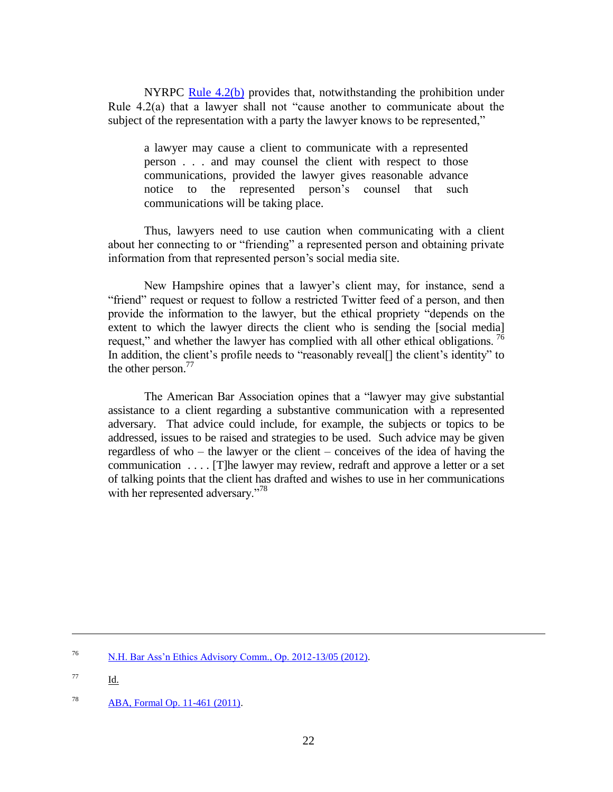NYRPC [Rule 4.2\(b\)](https://www.nycla.org/siteFiles/Publications/Publications1748_0.pdf) provides that, notwithstanding the prohibition under Rule 4.2(a) that a lawyer shall not "cause another to communicate about the subject of the representation with a party the lawyer knows to be represented,"

a lawyer may cause a client to communicate with a represented person . . . and may counsel the client with respect to those communications, provided the lawyer gives reasonable advance notice to the represented person's counsel that such communications will be taking place.

Thus, lawyers need to use caution when communicating with a client about her connecting to or "friending" a represented person and obtaining private information from that represented person's social media site.

New Hampshire opines that a lawyer's client may, for instance, send a "friend" request or request to follow a restricted Twitter feed of a person, and then provide the information to the lawyer, but the ethical propriety "depends on the extent to which the lawyer directs the client who is sending the [social media] request," and whether the lawyer has complied with all other ethical obligations.  $^{76}$ In addition, the client's profile needs to "reasonably reveal[] the client's identity" to the other person. $^{77}$ 

The American Bar Association opines that a "lawyer may give substantial assistance to a client regarding a substantive communication with a represented adversary. That advice could include, for example, the subjects or topics to be addressed, issues to be raised and strategies to be used. Such advice may be given regardless of who – the lawyer or the client – conceives of the idea of having the communication . . . . [T]he lawyer may review, redraft and approve a letter or a set of talking points that the client has drafted and wishes to use in her communications with her represented adversary."<sup>78</sup>

<sup>77</sup> Id.

l

<sup>76</sup> [N.H. Bar Ass'n Ethics Advisory Comm., Op. 2012-13/05 \(2012\).](http://www.nhbar.org/legal-links/Ethics-Opinion-2012-13_05.asp)

<sup>78</sup> [ABA, Formal Op. 11-461 \(2011\).](http://www.americanbar.org/content/dam/aba/administrative/professional_responsibility/formal_opinion_11_461_nm.authcheckdam.pdf)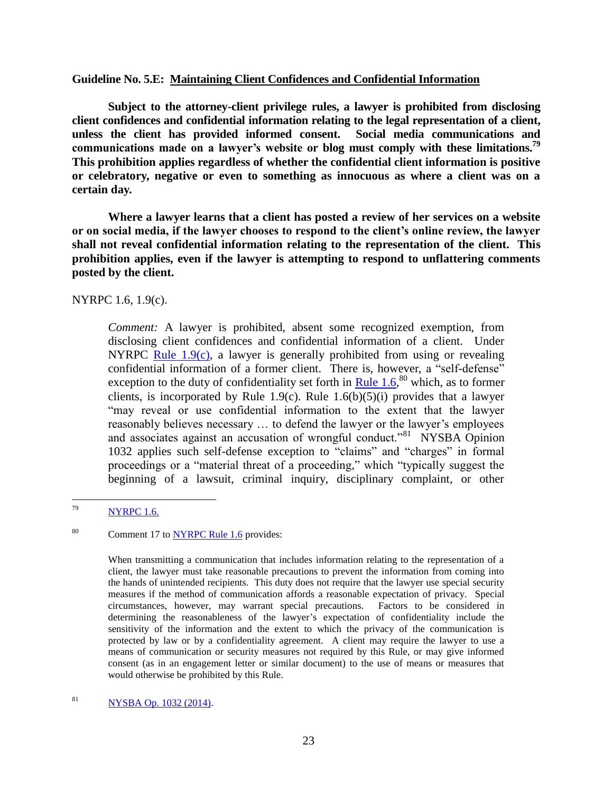#### **Guideline No. 5.E: Maintaining Client Confidences and Confidential Information**

**Subject to the attorney-client privilege rules, a lawyer is prohibited from disclosing client confidences and confidential information relating to the legal representation of a client, unless the client has provided informed consent. Social media communications and communications made on a lawyer's website or blog must comply with these limitations. 79 This prohibition applies regardless of whether the confidential client information is positive or celebratory, negative or even to something as innocuous as where a client was on a certain day.** 

**Where a lawyer learns that a client has posted a review of her services on a website or on social media, if the lawyer chooses to respond to the client's online review, the lawyer shall not reveal confidential information relating to the representation of the client. This prohibition applies, even if the lawyer is attempting to respond to unflattering comments posted by the client.**

NYRPC 1.6, 1.9(c).

*Comment:* A lawyer is prohibited, absent some recognized exemption, from disclosing client confidences and confidential information of a client. Under NYRPC Rule  $1.9(c)$ , a lawyer is generally prohibited from using or revealing confidential information of a former client. There is, however, a "self-defense" exception to the duty of confidentiality set forth in  $\frac{\text{Rule 1.6}}{80}$  which, as to former clients, is incorporated by Rule 1.9(c). Rule 1.6(b)(5)(i) provides that a lawyer "may reveal or use confidential information to the extent that the lawyer reasonably believes necessary … to defend the lawyer or the lawyer's employees and associates against an accusation of wrongful conduct.<sup>881</sup> NYSBA Opinion 1032 applies such self-defense exception to "claims" and "charges" in formal proceedings or a "material threat of a proceeding," which "typically suggest the beginning of a lawsuit, criminal inquiry, disciplinary complaint, or other

<sup>79</sup> **[NYRPC 1.6.](http://www.nysba.org/WorkArea/DownloadAsset.aspx?id=50671)** 

<sup>80</sup> Comment 17 t[o NYRPC Rule 1.6](http://www.nysba.org/WorkArea/DownloadAsset.aspx?id=50671) provides:

When transmitting a communication that includes information relating to the representation of a client, the lawyer must take reasonable precautions to prevent the information from coming into the hands of unintended recipients. This duty does not require that the lawyer use special security measures if the method of communication affords a reasonable expectation of privacy. Special circumstances, however, may warrant special precautions. Factors to be considered in determining the reasonableness of the lawyer's expectation of confidentiality include the sensitivity of the information and the extent to which the privacy of the communication is protected by law or by a confidentiality agreement. A client may require the lawyer to use a means of communication or security measures not required by this Rule, or may give informed consent (as in an engagement letter or similar document) to the use of means or measures that would otherwise be prohibited by this Rule.

<sup>81</sup> [NYSBA Op. 1032 \(2014\).](http://www.nysba.org/CustomTemplates/Content.aspx?id=52969)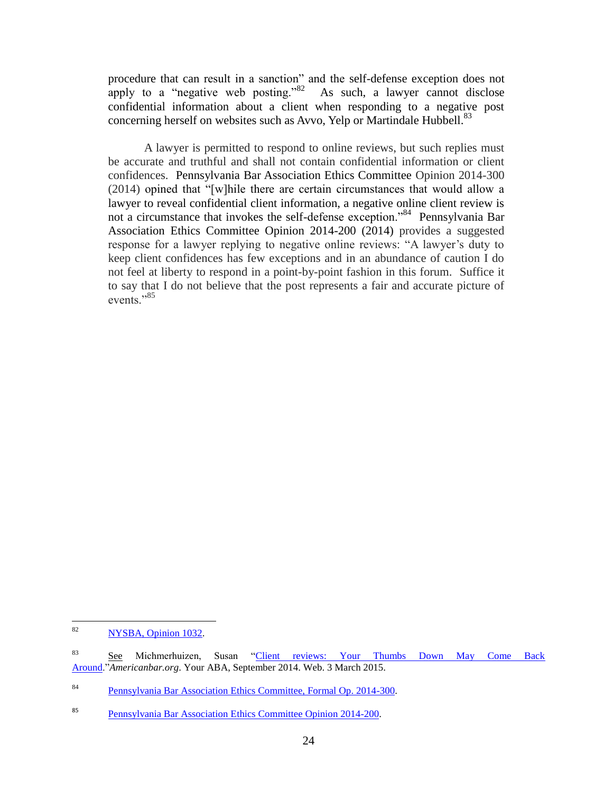procedure that can result in a sanction" and the self-defense exception does not apply to a "negative web posting."<sup>82</sup> As such, a lawyer cannot disclose confidential information about a client when responding to a negative post concerning herself on websites such as Avvo, Yelp or Martindale Hubbell.<sup>83</sup>

A lawyer is permitted to respond to online reviews, but such replies must be accurate and truthful and shall not contain confidential information or client confidences. Pennsylvania Bar Association Ethics Committee Opinion 2014-300 (2014) opined that "[w]hile there are certain circumstances that would allow a lawyer to reveal confidential client information, a negative online client review is not a circumstance that invokes the self-defense exception."<sup>84</sup> Pennsylvania Bar Association Ethics Committee Opinion 2014-200 (2014) provides a suggested response for a lawyer replying to negative online reviews: "A lawyer's duty to keep client confidences has few exceptions and in an abundance of caution I do not feel at liberty to respond in a point-by-point fashion in this forum. Suffice it to say that I do not believe that the post represents a fair and accurate picture of events<sup>"85</sup>

<sup>82</sup> [NYSBA, Opinion 1032.](http://www.nysba.org/CustomTemplates/Content.aspx?id=52969)

<sup>83</sup> See Michmerhuizen, Susan ["Client reviews: Your Thumbs Down May Come Back](http://www.americanbar.org/publications/youraba/2014/september-2014/client-reviews--your-thumbs-down-may-come-back-around.html)  [Around.](http://www.americanbar.org/publications/youraba/2014/september-2014/client-reviews--your-thumbs-down-may-come-back-around.html)"*Americanbar.org*. Your ABA, September 2014. Web. 3 March 2015.

<sup>84</sup> [Pennsylvania Bar Association Ethics Committee, Formal Op. 2014-300.](http://www.aceds.org/wp-content/uploads/2014/11/PABarAssoc_EthicalObligationsAttorneysSocialMedia.pdf)

<sup>85</sup> [Pennsylvania Bar Association Ethics Committee Opinion 2014-200.](https://www.pabar.org/members/catalogs/Ethics%20Opinions/formal/F2014-200.pdf)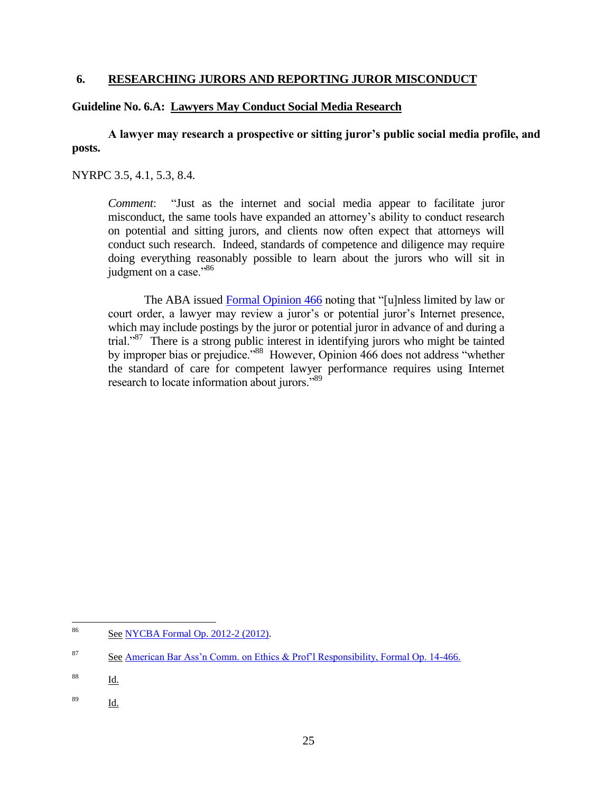# **6. RESEARCHING JURORS AND REPORTING JUROR MISCONDUCT**

# **Guideline No. 6.A: Lawyers May Conduct Social Media Research**

**A lawyer may research a prospective or sitting juror's public social media profile, and posts.**

# NYRPC 3.5, 4.1, 5.3, 8.4.

*Comment*: "Just as the internet and social media appear to facilitate juror misconduct, the same tools have expanded an attorney's ability to conduct research on potential and sitting jurors, and clients now often expect that attorneys will conduct such research. Indeed, standards of competence and diligence may require doing everything reasonably possible to learn about the jurors who will sit in judgment on a case."<sup>86</sup>

The ABA issued [Formal Opinion 466](http://www.americanbar.org/content/dam/aba/administrative/professional_responsibility/formal_opinion_466_final_04_23_14.authcheckdam.pdf) noting that "[u]nless limited by law or court order, a lawyer may review a juror's or potential juror's Internet presence, which may include postings by the juror or potential juror in advance of and during a trial."<sup>87</sup> There is a strong public interest in identifying jurors who might be tainted by improper bias or prejudice."<sup>88</sup> However, Opinion 466 does not address "whether the standard of care for competent lawyer performance requires using Internet research to locate information about jurors."<sup>89</sup>

 $\frac{89}{\underline{Id}}$ .

<sup>86</sup> See [NYCBA Formal Op. 2012-2 \(2012\).](http://www.nycbar.org/ethics/ethics-opinions-local/2012opinions/1479-formal-opinion-2012-02)

<sup>87</sup> See [American Bar Ass'n Comm. on Ethics & Prof'l Responsibility, Formal Op. 14-466.](http://www.americanbar.org/content/dam/aba/administrative/professional_responsibility/formal_opinion_466_final_04_23_14.authcheckdam.pdf)

<sup>88</sup> Id.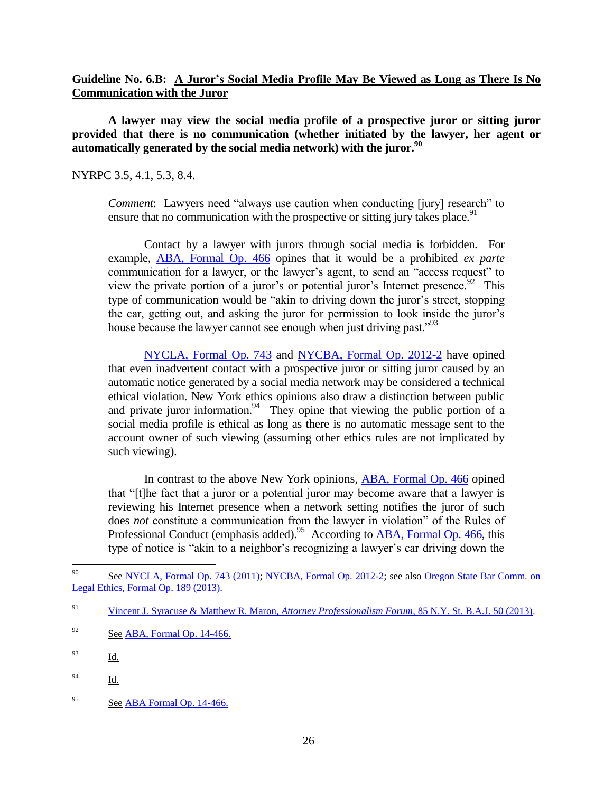# **Guideline No. 6.B: A Juror's Social Media Profile May Be Viewed as Long as There Is No Communication with the Juror**

**A lawyer may view the social media profile of a prospective juror or sitting juror provided that there is no communication (whether initiated by the lawyer, her agent or automatically generated by the social media network) with the juror.<sup>90</sup>**

NYRPC 3.5, 4.1, 5.3, 8.4.

*Comment*: Lawyers need "always use caution when conducting [jury] research" to ensure that no communication with the prospective or sitting jury takes place.<sup>91</sup>

Contact by a lawyer with jurors through social media is forbidden. For example, ABA, [Formal Op. 466](http://www.americanbar.org/content/dam/aba/administrative/professional_responsibility/formal_opinion_466_final_04_23_14.authcheckdam.pdf) opines that it would be a prohibited *ex parte*  communication for a lawyer, or the lawyer's agent, to send an "access request" to view the private portion of a juror's or potential juror's Internet presence.<sup>92</sup> This type of communication would be "akin to driving down the juror's street, stopping the car, getting out, and asking the juror for permission to look inside the juror's house because the lawyer cannot see enough when just driving past."<sup>93</sup>

[NYCLA, Formal Op. 743](https://www.nycla.org/siteFiles/Publications/Publications1450_0.pdf) and [NYCBA, Formal Op. 2012-2](http://www.nycbar.org/ethics/ethics-opinions-local/2012opinions/1479-formal-opinion-2012-02) have opined that even inadvertent contact with a prospective juror or sitting juror caused by an automatic notice generated by a social media network may be considered a technical ethical violation. New York ethics opinions also draw a distinction between public and private juror information.<sup>94</sup> They opine that viewing the public portion of a social media profile is ethical as long as there is no automatic message sent to the account owner of such viewing (assuming other ethics rules are not implicated by such viewing).

In contrast to the above New York opinions, [ABA, Formal Op. 466](http://www.americanbar.org/content/dam/aba/administrative/professional_responsibility/formal_opinion_466_final_04_23_14.authcheckdam.pdf) opined that "[t]he fact that a juror or a potential juror may become aware that a lawyer is reviewing his Internet presence when a network setting notifies the juror of such does *not* constitute a communication from the lawyer in violation" of the Rules of Professional Conduct (emphasis added).<sup>95</sup> According to [ABA, Formal Op. 466,](http://www.americanbar.org/content/dam/aba/administrative/professional_responsibility/formal_opinion_466_final_04_23_14.authcheckdam.pdf) this type of notice is "akin to a neighbor's recognizing a lawyer's car driving down the

<sup>90</sup> See [NYCLA, Formal Op. 743 \(2011\);](https://www.nycla.org/siteFiles/Publications/Publications1450_0.pdf) [NYCBA, Formal Op. 2012-2;](http://www.nycbar.org/ethics/ethics-opinions-local/2012opinions/1479-formal-opinion-2012-02) see also Oregon State Bar Comm. on [Legal Ethics, Formal Op. 189 \(2013\).](https://www.osbar.org/_docs/ethics/2013-189.pdf)

<sup>91</sup> [Vincent J. Syracuse & Matthew R. Maron,](http://www.thsh.com/Publications/Publication.aspx?PDF=508) *Attorney Professionalism Forum*, 85 N.Y. St. B.A.J. 50 (2013).

 $92$  See [ABA, Formal Op. 14-466.](http://www.americanbar.org/content/dam/aba/administrative/professional_responsibility/formal_opinion_466_final_04_23_14.authcheckdam.pdf)

<sup>93</sup> Id.

<sup>94</sup> Id.

<sup>&</sup>lt;sup>95</sup> See [ABA Formal Op. 14-466.](http://www.americanbar.org/content/dam/aba/administrative/professional_responsibility/formal_opinion_466_final_04_23_14.authcheckdam.pdf)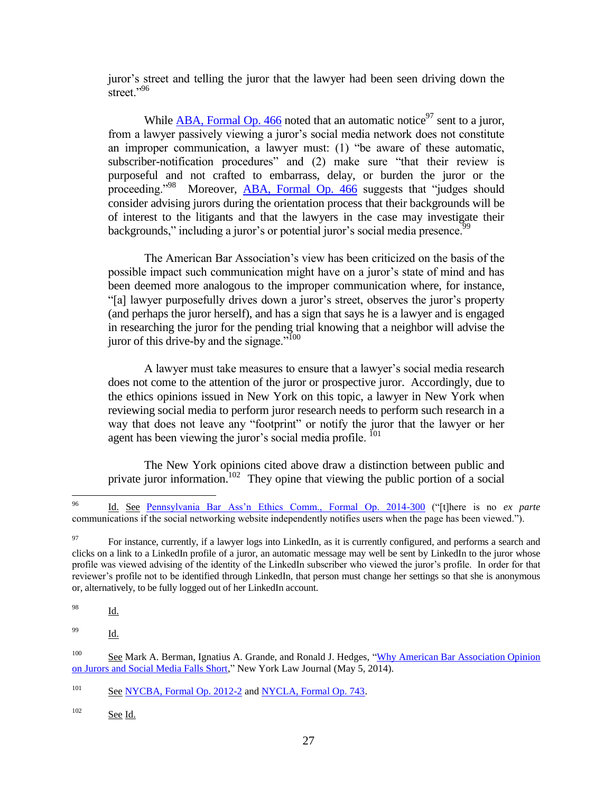juror's street and telling the juror that the lawyer had been seen driving down the street."<sup>96</sup>

While [ABA, Formal Op. 466](http://www.americanbar.org/content/dam/aba/administrative/professional_responsibility/formal_opinion_466_final_04_23_14.authcheckdam.pdf) noted that an automatic notice<sup>97</sup> sent to a juror, from a lawyer passively viewing a juror's social media network does not constitute an improper communication, a lawyer must: (1) "be aware of these automatic, subscriber-notification procedures" and (2) make sure "that their review is purposeful and not crafted to embarrass, delay, or burden the juror or the proceeding."<sup>98</sup> Moreover, [ABA, Formal Op. 466](http://www.americanbar.org/content/dam/aba/administrative/professional_responsibility/formal_opinion_466_final_04_23_14.authcheckdam.pdf) suggests that "judges should consider advising jurors during the orientation process that their backgrounds will be of interest to the litigants and that the lawyers in the case may investigate their backgrounds," including a juror's or potential juror's social media presence.<sup>99</sup>

The American Bar Association's view has been criticized on the basis of the possible impact such communication might have on a juror's state of mind and has been deemed more analogous to the improper communication where, for instance, "[a] lawyer purposefully drives down a juror's street, observes the juror's property (and perhaps the juror herself), and has a sign that says he is a lawyer and is engaged in researching the juror for the pending trial knowing that a neighbor will advise the juror of this drive-by and the signage." $100$ 

A lawyer must take measures to ensure that a lawyer's social media research does not come to the attention of the juror or prospective juror. Accordingly, due to the ethics opinions issued in New York on this topic, a lawyer in New York when reviewing social media to perform juror research needs to perform such research in a way that does not leave any "footprint" or notify the juror that the lawyer or her agent has been viewing the juror's social media profile.  $^{101}$ 

The New York opinions cited above draw a distinction between public and private juror information.<sup>102</sup> They opine that viewing the public portion of a social

 $\frac{98}{\underline{Id}}$ .

<sup>99</sup> Id.

 $102$  See Id.

<sup>96</sup> <sup>96</sup> Id. See [Pennsylvania Bar Ass'n Ethics Comm., Formal Op. 2014-300](http://www.danieljsiegel.com/Formal_2014-300.pdf) ("[t]here is no *ex parte* communications if the social networking website independently notifies users when the page has been viewed.").

<sup>&</sup>lt;sup>97</sup> For instance, currently, if a lawyer logs into LinkedIn, as it is currently configured, and performs a search and clicks on a link to a LinkedIn profile of a juror, an automatic message may well be sent by LinkedIn to the juror whose profile was viewed advising of the identity of the LinkedIn subscriber who viewed the juror's profile. In order for that reviewer's profile not to be identified through LinkedIn, that person must change her settings so that she is anonymous or, alternatively, to be fully logged out of her LinkedIn account.

<sup>100</sup> See Mark A. Berman, Ignatius A. Grande, and Ronald J. Hedges, ["Why American Bar Association Opinion](http://www.hugheshubbard.com/PublicationDocuments/grande_NYLJ_article_why_ABA_jurors_social_media_may2014.pdf)  [on Jurors and Social Media Falls Short,](http://www.hugheshubbard.com/PublicationDocuments/grande_NYLJ_article_why_ABA_jurors_social_media_may2014.pdf)" New York Law Journal (May 5, 2014).

<sup>&</sup>lt;sup>101</sup> See [NYCBA, Formal Op. 2012-2](http://www.nycbar.org/ethics/ethics-opinions-local/2012opinions/1479-formal-opinion-2012-02) and [NYCLA, Formal Op. 743.](https://www.nycla.org/siteFiles/Publications/Publications1450_0.pdf)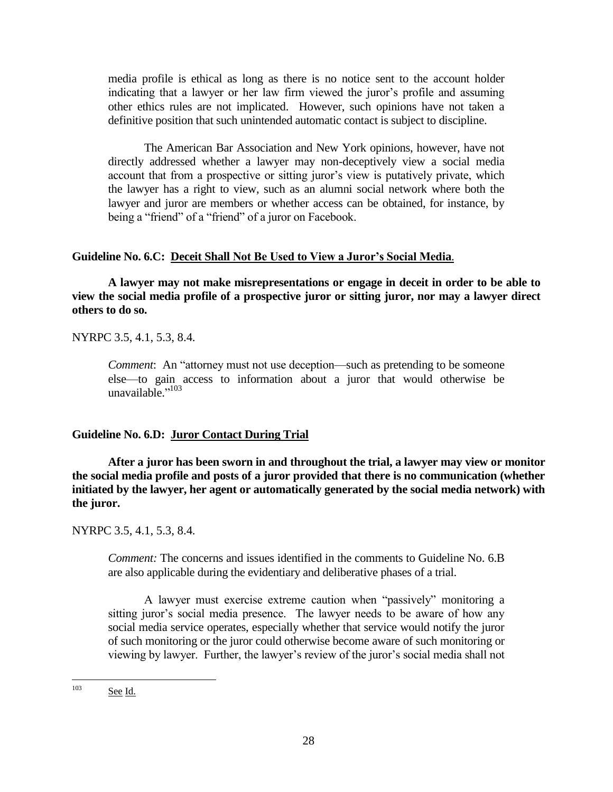media profile is ethical as long as there is no notice sent to the account holder indicating that a lawyer or her law firm viewed the juror's profile and assuming other ethics rules are not implicated. However, such opinions have not taken a definitive position that such unintended automatic contact is subject to discipline.

The American Bar Association and New York opinions, however, have not directly addressed whether a lawyer may non-deceptively view a social media account that from a prospective or sitting juror's view is putatively private, which the lawyer has a right to view, such as an alumni social network where both the lawyer and juror are members or whether access can be obtained, for instance, by being a "friend" of a "friend" of a juror on Facebook.

#### **Guideline No. 6.C: Deceit Shall Not Be Used to View a Juror's Social Media**.

**A lawyer may not make misrepresentations or engage in deceit in order to be able to view the social media profile of a prospective juror or sitting juror, nor may a lawyer direct others to do so.**

NYRPC 3.5, 4.1, 5.3, 8.4.

*Comment*: An "attorney must not use deception—such as pretending to be someone else—to gain access to information about a juror that would otherwise be unavailable." 103

#### **Guideline No. 6.D: Juror Contact During Trial**

**After a juror has been sworn in and throughout the trial, a lawyer may view or monitor the social media profile and posts of a juror provided that there is no communication (whether initiated by the lawyer, her agent or automatically generated by the social media network) with the juror.**

NYRPC 3.5, 4.1, 5.3, 8.4.

*Comment:* The concerns and issues identified in the comments to Guideline No. 6.B are also applicable during the evidentiary and deliberative phases of a trial.

A lawyer must exercise extreme caution when "passively" monitoring a sitting juror's social media presence. The lawyer needs to be aware of how any social media service operates, especially whether that service would notify the juror of such monitoring or the juror could otherwise become aware of such monitoring or viewing by lawyer. Further, the lawyer's review of the juror's social media shall not

 $103$ See Id.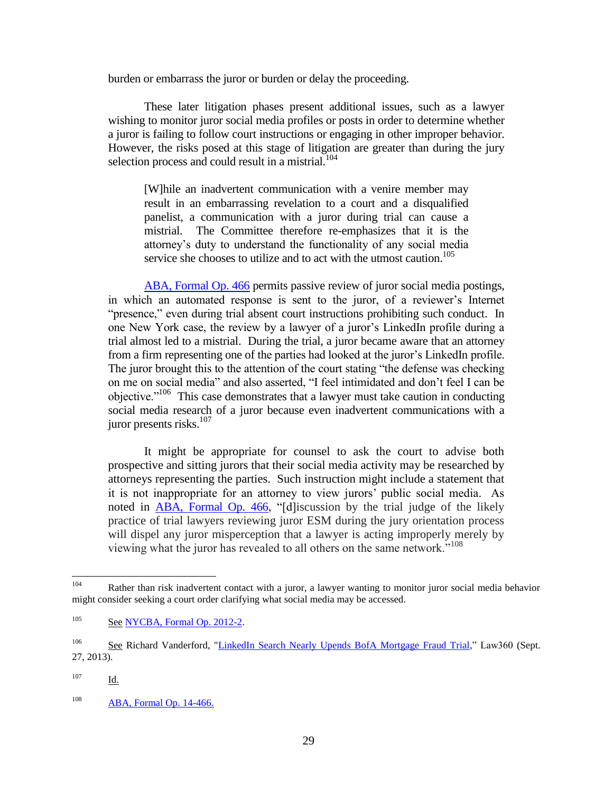burden or embarrass the juror or burden or delay the proceeding.

These later litigation phases present additional issues, such as a lawyer wishing to monitor juror social media profiles or posts in order to determine whether a juror is failing to follow court instructions or engaging in other improper behavior. However, the risks posed at this stage of litigation are greater than during the jury selection process and could result in a mistrial.<sup>104</sup>

[W]hile an inadvertent communication with a venire member may result in an embarrassing revelation to a court and a disqualified panelist, a communication with a juror during trial can cause a mistrial. The Committee therefore re-emphasizes that it is the attorney's duty to understand the functionality of any social media service she chooses to utilize and to act with the utmost caution.<sup>105</sup>

[ABA, Formal Op. 466](http://www.americanbar.org/content/dam/aba/administrative/professional_responsibility/formal_opinion_466_final_04_23_14.authcheckdam.pdf) permits passive review of juror social media postings, in which an automated response is sent to the juror, of a reviewer's Internet "presence," even during trial absent court instructions prohibiting such conduct. In one New York case, the review by a lawyer of a juror's LinkedIn profile during a trial almost led to a mistrial. During the trial, a juror became aware that an attorney from a firm representing one of the parties had looked at the juror's LinkedIn profile. The juror brought this to the attention of the court stating "the defense was checking on me on social media" and also asserted, "I feel intimidated and don't feel I can be objective."<sup>106</sup> This case demonstrates that a lawyer must take caution in conducting social media research of a juror because even inadvertent communications with a juror presents risks. $107$ 

It might be appropriate for counsel to ask the court to advise both prospective and sitting jurors that their social media activity may be researched by attorneys representing the parties. Such instruction might include a statement that it is not inappropriate for an attorney to view jurors' public social media. As noted in [ABA, Formal Op. 466,](http://www.americanbar.org/content/dam/aba/administrative/professional_responsibility/formal_opinion_466_final_04_23_14.authcheckdam.pdf) "[d]iscussion by the trial judge of the likely practice of trial lawyers reviewing juror ESM during the jury orientation process will dispel any juror misperception that a lawyer is acting improperly merely by viewing what the juror has revealed to all others on the same network."<sup>108</sup>

<sup>104</sup> Rather than risk inadvertent contact with a juror, a lawyer wanting to monitor juror social media behavior might consider seeking a court order clarifying what social media may be accessed.

<sup>&</sup>lt;sup>105</sup> See [NYCBA, Formal Op. 2012-2.](http://www.nycbar.org/ethics/ethics-opinions-local/2012opinions/1479-formal-opinion-2012-02)

<sup>&</sup>lt;sup>106</sup> See Richard Vanderford, ["LinkedIn Search Nearly Upends BofA Mortgage Fraud Trial,"](http://www.law360.com/articles/476511/linkedin-search-nearly-upends-bofa-mortgage-fraud-trial) Law360 (Sept. 27, 2013).

<sup>107</sup> Id.

<sup>108</sup> [ABA, Formal Op. 14-466.](http://www.almd.uscourts.gov/docs/aba_formal_opinion_466.pdf)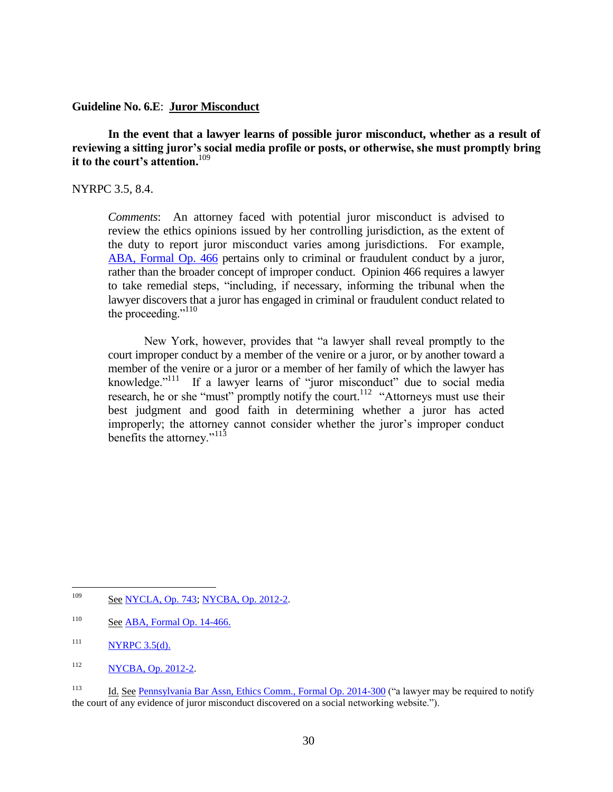#### **Guideline No. 6.E**: **Juror Misconduct**

**In the event that a lawyer learns of possible juror misconduct, whether as a result of reviewing a sitting juror's social media profile or posts, or otherwise, she must promptly bring it to the court's attention.**<sup>109</sup>

# NYRPC 3.5, 8.4.

*Comments*: An attorney faced with potential juror misconduct is advised to review the ethics opinions issued by her controlling jurisdiction, as the extent of the duty to report juror misconduct varies among jurisdictions. For example, [ABA, Formal Op. 466](http://www.americanbar.org/content/dam/aba/administrative/professional_responsibility/formal_opinion_466_final_04_23_14.authcheckdam.pdf) pertains only to criminal or fraudulent conduct by a juror, rather than the broader concept of improper conduct. Opinion 466 requires a lawyer to take remedial steps, "including, if necessary, informing the tribunal when the lawyer discovers that a juror has engaged in criminal or fraudulent conduct related to the proceeding."<sup>110</sup>

New York, however, provides that "a lawyer shall reveal promptly to the court improper conduct by a member of the venire or a juror, or by another toward a member of the venire or a juror or a member of her family of which the lawyer has knowledge."<sup>111</sup> If a lawyer learns of "juror misconduct" due to social media research, he or she "must" promptly notify the court.<sup>112</sup> "Attorneys must use their best judgment and good faith in determining whether a juror has acted improperly; the attorney cannot consider whether the juror's improper conduct benefits the attorney."<sup>113</sup>

109 See [NYCLA, Op. 743;](https://www.nycla.org/siteFiles/Publications/Publications1450_0.pdf) [NYCBA, Op. 2012-2.](http://www.nycbar.org/ethics/ethics-opinions-local/2012opinions/1479-formal-opinion-2012-02)

 $110$  See [ABA, Formal Op. 14-466.](http://www.americanbar.org/content/dam/aba/administrative/professional_responsibility/formal_opinion_466_final_04_23_14.authcheckdam.pdf)

 $111$  NYRPC 3.5(d).

<sup>112</sup> [NYCBA, Op. 2012-2.](http://www.nycbar.org/ethics/ethics-opinions-local/2012opinions/1479-formal-opinion-2012-02)

<sup>&</sup>lt;sup>113</sup> Id. See [Pennsylvania Bar Assn, Ethics Comm., Formal Op. 2014-300](http://www.danieljsiegel.com/Formal_2014-300.pdf) ("a lawyer may be required to notify the court of any evidence of juror misconduct discovered on a social networking website.").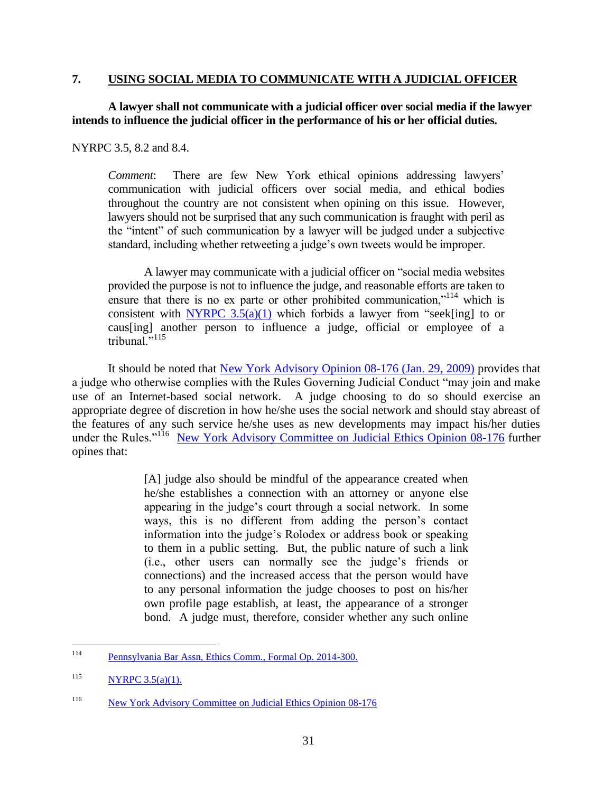# **7. USING SOCIAL MEDIA TO COMMUNICATE WITH A JUDICIAL OFFICER**

# **A lawyer shall not communicate with a judicial officer over social media if the lawyer intends to influence the judicial officer in the performance of his or her official duties.**

NYRPC 3.5, 8.2 and 8.4.

*Comment*: There are few New York ethical opinions addressing lawyers' communication with judicial officers over social media, and ethical bodies throughout the country are not consistent when opining on this issue. However, lawyers should not be surprised that any such communication is fraught with peril as the "intent" of such communication by a lawyer will be judged under a subjective standard, including whether retweeting a judge's own tweets would be improper.

A lawyer may communicate with a judicial officer on "social media websites provided the purpose is not to influence the judge, and reasonable efforts are taken to ensure that there is no ex parte or other prohibited communication,"<sup>114</sup> which is consistent with NYRPC  $3.5(a)(1)$  which forbids a lawyer from "seek[ing] to or caus[ing] another person to influence a judge, official or employee of a tribunal $^{115}$ 

It should be noted that [New York Advisory Opinion 08-176 \(Jan. 29, 2009\)](http://www.courts.state.ny.us/ip/judicialethics/opinions/08-176.htm) provides that a judge who otherwise complies with the Rules Governing Judicial Conduct "may join and make use of an Internet-based social network. A judge choosing to do so should exercise an appropriate degree of discretion in how he/she uses the social network and should stay abreast of the features of any such service he/she uses as new developments may impact his/her duties under the Rules."<sup>116</sup> [New York Advisory Committee on Judicial Ethics Opinion 08-176](http://www.courts.state.ny.us/ip/judicialethics/opinions/08-176.htm) further opines that:

> [A] judge also should be mindful of the appearance created when he/she establishes a connection with an attorney or anyone else appearing in the judge's court through a social network. In some ways, this is no different from adding the person's contact information into the judge's Rolodex or address book or speaking to them in a public setting. But, the public nature of such a link (i.e., other users can normally see the judge's friends or connections) and the increased access that the person would have to any personal information the judge chooses to post on his/her own profile page establish, at least, the appearance of a stronger bond. A judge must, therefore, consider whether any such online

<sup>114</sup> [Pennsylvania Bar Assn, Ethics Comm., Formal Op. 2014-300.](http://www.danieljsiegel.com/Formal_2014-300.pdf)

 $NYRPC 3.5(a)(1)$ .

<sup>116</sup> [New York Advisory Committee on Judicial Ethics Opinion 08-176](http://www.courts.state.ny.us/ip/judicialethics/opinions/08-176.htm)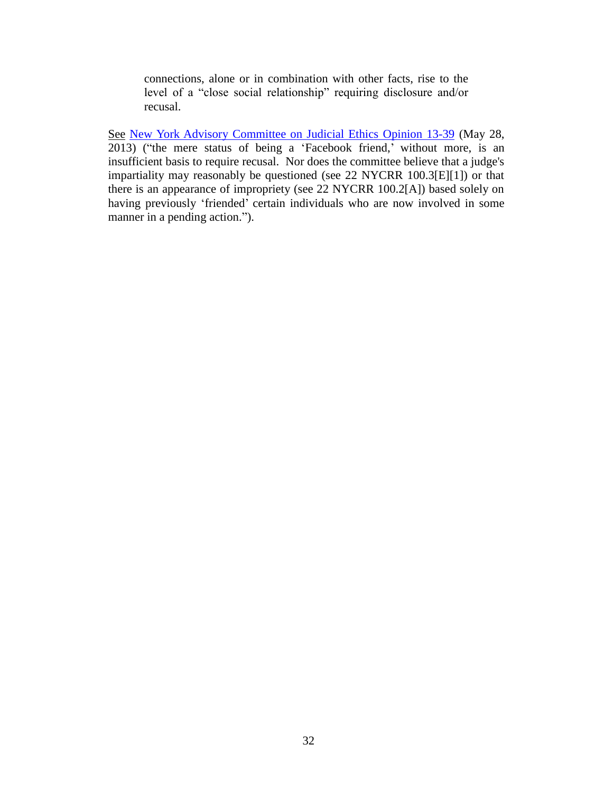connections, alone or in combination with other facts, rise to the level of a "close social relationship" requiring disclosure and/or recusal.

See [New York Advisory Committee on Judicial Ethics Opinion 13-39](http://www.nycourts.gov/ip/judicialethics/opinions/13-39.htm) (May 28, 2013) ("the mere status of being a 'Facebook friend,' without more, is an insufficient basis to require recusal. Nor does the committee believe that a judge's impartiality may reasonably be questioned (see 22 NYCRR 100.3[E][1]) or that there is an appearance of impropriety (see 22 NYCRR 100.2[A]) based solely on having previously 'friended' certain individuals who are now involved in some manner in a pending action.").